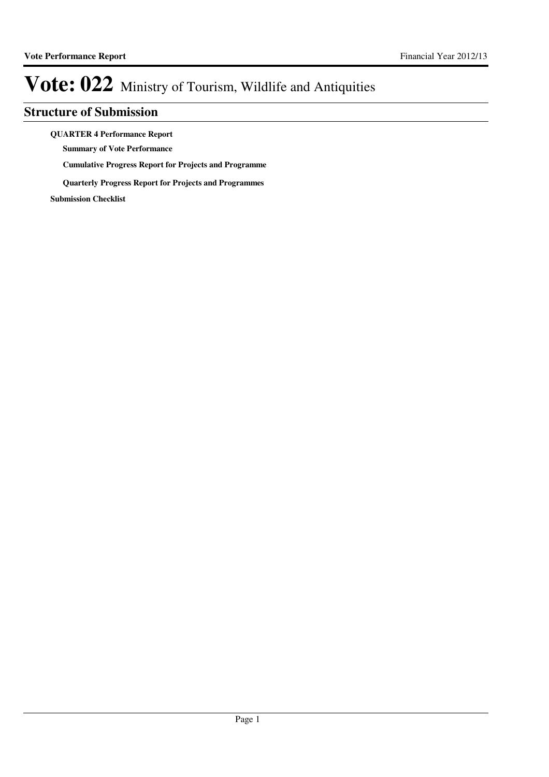## **Structure of Submission**

**QUARTER 4 Performance Report**

**Summary of Vote Performance**

**Cumulative Progress Report for Projects and Programme**

**Quarterly Progress Report for Projects and Programmes**

**Submission Checklist**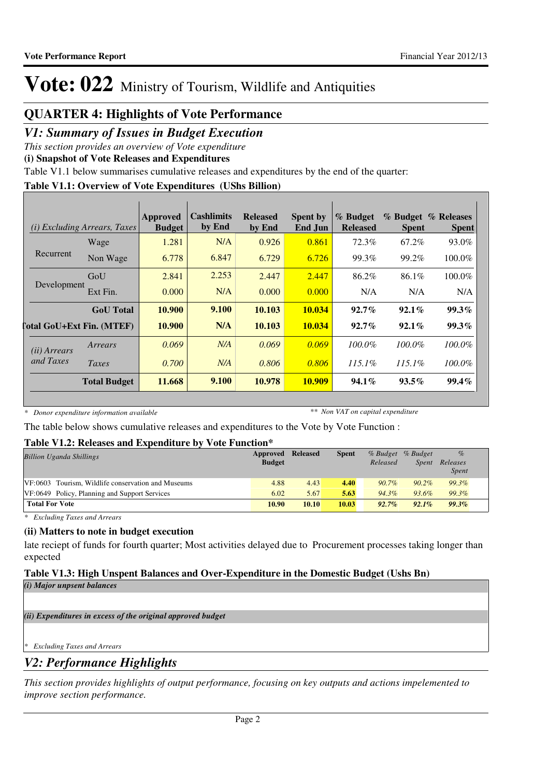## **QUARTER 4: Highlights of Vote Performance**

## *V1: Summary of Issues in Budget Execution*

*This section provides an overview of Vote expenditure*

**(i) Snapshot of Vote Releases and Expenditures**

Table V1.1 below summarises cumulative releases and expenditures by the end of the quarter:

## **Table V1.1: Overview of Vote Expenditures (UShs Billion)**

|                       | ( <i>i</i> ) Excluding Arrears, Taxes | Approved<br><b>Budget</b> | Cashlimits<br>by End | <b>Released</b><br>by End | <b>Spent by</b><br>End Jun | % Budget<br><b>Released</b> | <b>Spent</b> | % Budget % Releases<br><b>Spent</b> |
|-----------------------|---------------------------------------|---------------------------|----------------------|---------------------------|----------------------------|-----------------------------|--------------|-------------------------------------|
|                       | Wage                                  | 1.281                     | N/A                  | 0.926                     | 0.861                      | 72.3%                       | 67.2%        | 93.0%                               |
| Recurrent             | Non Wage                              | 6.778                     | 6.847                | 6.729                     | 6.726                      | 99.3%                       | 99.2%        | 100.0%                              |
|                       | GoU                                   | 2.841                     | 2.253                | 2.447                     | 2.447                      | 86.2%                       | 86.1%        | 100.0%                              |
| Development           | Ext Fin.                              | 0.000                     | N/A                  | 0.000                     | 0.000                      | N/A                         | N/A          | N/A                                 |
|                       | <b>GoU</b> Total                      | 10.900                    | 9.100                | 10.103                    | 10.034                     | $92.7\%$                    | $92.1\%$     | 99.3%                               |
|                       | <b>Total GoU+Ext Fin. (MTEF)</b>      | 10.900                    | N/A                  | 10.103                    | 10.034                     | $92.7\%$                    | $92.1\%$     | $99.3\%$                            |
| ( <i>ii</i> ) Arrears | Arrears                               | 0.069                     | N/A                  | 0.069                     | 0.069                      | $100.0\%$                   | $100.0\%$    | 100.0%                              |
| and Taxes             | Taxes                                 | 0.700                     | N/A                  | 0.806                     | 0.806                      | $115.1\%$                   | $115.1\%$    | $100.0\%$                           |
|                       | <b>Total Budget</b>                   | 11.668                    | 9.100                | 10.978                    | <b>10.909</b>              | $94.1\%$                    | $93.5\%$     | $99.4\%$                            |

*\* Donor expenditure information available*

*\*\* Non VAT on capital expenditure*

The table below shows cumulative releases and expenditures to the Vote by Vote Function :

## **Table V1.2: Releases and Expenditure by Vote Function\***

| <b>Billion Uganda Shillings</b>                    | Approved<br><b>Budget</b> | <b>Released</b> | <b>Spent</b> | Released | % Budget % Budget<br><b>Spent</b> | $\%$<br>Releases<br><i>Spent</i> |
|----------------------------------------------------|---------------------------|-----------------|--------------|----------|-----------------------------------|----------------------------------|
| VF:0603 Tourism, Wildlife conservation and Museums | 4.88                      | 4.43            | 4.40         | $90.7\%$ | $90.2\%$                          | 99.3%                            |
| VF:0649 Policy, Planning and Support Services      | 6.02                      | 5.67            | 5.63         | $94.3\%$ | 93.6%                             | 99.3%                            |
| <b>Total For Vote</b>                              | 10.90                     | 10.10           | 10.03        | $92.7\%$ | $92.1\%$                          | 99.3%                            |

*\* Excluding Taxes and Arrears*

## **(ii) Matters to note in budget execution**

late reciept of funds for fourth quarter; Most activities delayed due to Procurement processes taking longer than expected

## **Table V1.3: High Unspent Balances and Over-Expenditure in the Domestic Budget (Ushs Bn)**

*(i) Major unpsent balances*

*(ii) Expenditures in excess of the original approved budget*

*\* Excluding Taxes and Arrears*

## *V2: Performance Highlights*

*This section provides highlights of output performance, focusing on key outputs and actions impelemented to improve section performance.*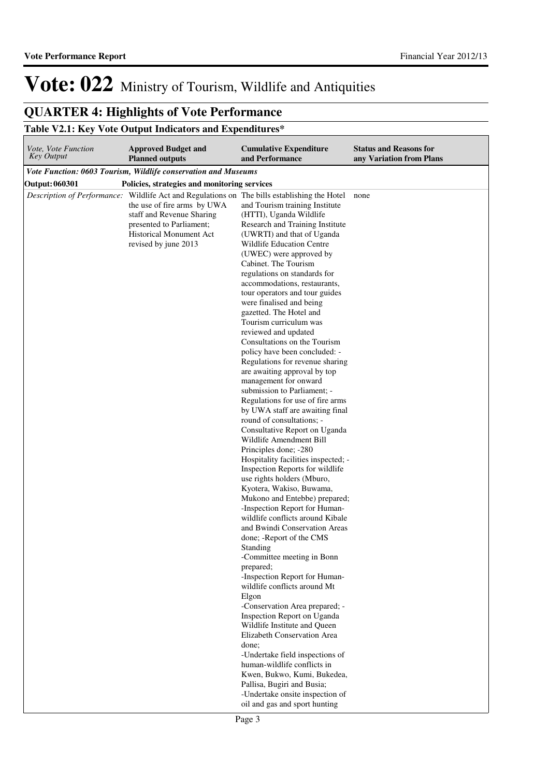## **QUARTER 4: Highlights of Vote Performance**

## **Table V2.1: Key Vote Output Indicators and Expenditures\***

| Vote, Vote Function<br><b>Key Output</b> | <b>Approved Budget and</b><br><b>Planned outputs</b>                                                                                                                                                                                    | <b>Cumulative Expenditure</b><br>and Performance                                                                                                                                                                                                                                                                                                                                                                                                                                                                                                                                                                                                                                                                                                                                                                                                                                                                                                                                                                                                                                                                                                                                                                                                                                                                                                                                                                                                                                                                                                                                                | <b>Status and Reasons for</b><br>any Variation from Plans |
|------------------------------------------|-----------------------------------------------------------------------------------------------------------------------------------------------------------------------------------------------------------------------------------------|-------------------------------------------------------------------------------------------------------------------------------------------------------------------------------------------------------------------------------------------------------------------------------------------------------------------------------------------------------------------------------------------------------------------------------------------------------------------------------------------------------------------------------------------------------------------------------------------------------------------------------------------------------------------------------------------------------------------------------------------------------------------------------------------------------------------------------------------------------------------------------------------------------------------------------------------------------------------------------------------------------------------------------------------------------------------------------------------------------------------------------------------------------------------------------------------------------------------------------------------------------------------------------------------------------------------------------------------------------------------------------------------------------------------------------------------------------------------------------------------------------------------------------------------------------------------------------------------------|-----------------------------------------------------------|
|                                          | Vote Function: 0603 Tourism, Wildlife conservation and Museums                                                                                                                                                                          |                                                                                                                                                                                                                                                                                                                                                                                                                                                                                                                                                                                                                                                                                                                                                                                                                                                                                                                                                                                                                                                                                                                                                                                                                                                                                                                                                                                                                                                                                                                                                                                                 |                                                           |
| Output: 060301                           | Policies, strategies and monitoring services                                                                                                                                                                                            |                                                                                                                                                                                                                                                                                                                                                                                                                                                                                                                                                                                                                                                                                                                                                                                                                                                                                                                                                                                                                                                                                                                                                                                                                                                                                                                                                                                                                                                                                                                                                                                                 |                                                           |
|                                          | Description of Performance: Wildlife Act and Regulations on The bills establishing the Hotel<br>the use of fire arms by UWA<br>staff and Revenue Sharing<br>presented to Parliament;<br>Historical Monument Act<br>revised by june 2013 | and Tourism training Institute<br>(HTTI), Uganda Wildlife<br>Research and Training Institute<br>(UWRTI) and that of Uganda<br>Wildlife Education Centre<br>(UWEC) were approved by<br>Cabinet. The Tourism<br>regulations on standards for<br>accommodations, restaurants,<br>tour operators and tour guides<br>were finalised and being<br>gazetted. The Hotel and<br>Tourism curriculum was<br>reviewed and updated<br>Consultations on the Tourism<br>policy have been concluded: -<br>Regulations for revenue sharing<br>are awaiting approval by top<br>management for onward<br>submission to Parliament; -<br>Regulations for use of fire arms<br>by UWA staff are awaiting final<br>round of consultations; -<br>Consultative Report on Uganda<br>Wildlife Amendment Bill<br>Principles done; -280<br>Hospitality facilities inspected; -<br>Inspection Reports for wildlife<br>use rights holders (Mburo,<br>Kyotera, Wakiso, Buwama,<br>Mukono and Entebbe) prepared;<br>-Inspection Report for Human-<br>wildlife conflicts around Kibale<br>and Bwindi Conservation Areas<br>done; - Report of the CMS<br>Standing<br>-Committee meeting in Bonn<br>prepared;<br>-Inspection Report for Human-<br>wildlife conflicts around Mt<br>Elgon<br>-Conservation Area prepared; -<br>Inspection Report on Uganda<br>Wildlife Institute and Queen<br>Elizabeth Conservation Area<br>done:<br>-Undertake field inspections of<br>human-wildlife conflicts in<br>Kwen, Bukwo, Kumi, Bukedea,<br>Pallisa, Bugiri and Busia;<br>-Undertake onsite inspection of<br>oil and gas and sport hunting | none                                                      |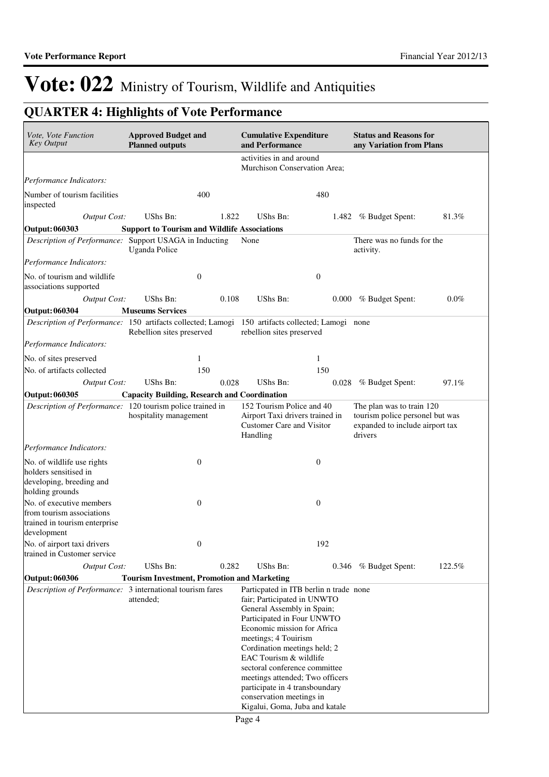## **QUARTER 4: Highlights of Vote Performance**

| Vote, Vote Function<br><b>Key Output</b>                                                              | <b>Approved Budget and</b><br><b>Planned outputs</b> |       | <b>Cumulative Expenditure</b><br>and Performance                                                                                                                                                                                                                                                                                                                                                                       |                  | <b>Status and Reasons for</b><br>any Variation from Plans                                                  |        |  |
|-------------------------------------------------------------------------------------------------------|------------------------------------------------------|-------|------------------------------------------------------------------------------------------------------------------------------------------------------------------------------------------------------------------------------------------------------------------------------------------------------------------------------------------------------------------------------------------------------------------------|------------------|------------------------------------------------------------------------------------------------------------|--------|--|
|                                                                                                       |                                                      |       | activities in and around<br>Murchison Conservation Area;                                                                                                                                                                                                                                                                                                                                                               |                  |                                                                                                            |        |  |
| Performance Indicators:                                                                               |                                                      |       |                                                                                                                                                                                                                                                                                                                                                                                                                        |                  |                                                                                                            |        |  |
| Number of tourism facilities<br>inspected                                                             | 400                                                  |       |                                                                                                                                                                                                                                                                                                                                                                                                                        | 480              |                                                                                                            |        |  |
| Output Cost:                                                                                          | UShs Bn:                                             | 1.822 | UShs Bn:                                                                                                                                                                                                                                                                                                                                                                                                               | 1.482            | % Budget Spent:                                                                                            | 81.3%  |  |
| Output: 060303                                                                                        | <b>Support to Tourism and Wildlife Associations</b>  |       |                                                                                                                                                                                                                                                                                                                                                                                                                        |                  |                                                                                                            |        |  |
| Description of Performance: Support USAGA in Inducting                                                | <b>Uganda Police</b>                                 |       | None                                                                                                                                                                                                                                                                                                                                                                                                                   |                  | There was no funds for the<br>activity.                                                                    |        |  |
| Performance Indicators:                                                                               |                                                      |       |                                                                                                                                                                                                                                                                                                                                                                                                                        |                  |                                                                                                            |        |  |
| No. of tourism and wildlife<br>associations supported                                                 | $\boldsymbol{0}$                                     |       |                                                                                                                                                                                                                                                                                                                                                                                                                        | $\boldsymbol{0}$ |                                                                                                            |        |  |
| Output Cost:                                                                                          | UShs Bn:                                             | 0.108 | UShs Bn:                                                                                                                                                                                                                                                                                                                                                                                                               | 0.000            | % Budget Spent:                                                                                            | 0.0%   |  |
| <b>Output: 060304</b>                                                                                 | <b>Museums Services</b>                              |       |                                                                                                                                                                                                                                                                                                                                                                                                                        |                  |                                                                                                            |        |  |
| Description of Performance: 150 artifacts collected; Lamogi                                           | Rebellion sites preserved                            |       | 150 artifacts collected; Lamogi none<br>rebellion sites preserved                                                                                                                                                                                                                                                                                                                                                      |                  |                                                                                                            |        |  |
| Performance Indicators:                                                                               |                                                      |       |                                                                                                                                                                                                                                                                                                                                                                                                                        |                  |                                                                                                            |        |  |
| No. of sites preserved                                                                                | 1                                                    |       |                                                                                                                                                                                                                                                                                                                                                                                                                        | 1                |                                                                                                            |        |  |
| No. of artifacts collected                                                                            | 150                                                  |       |                                                                                                                                                                                                                                                                                                                                                                                                                        | 150              |                                                                                                            |        |  |
| <b>Output Cost:</b>                                                                                   | UShs Bn:                                             | 0.028 | UShs Bn:                                                                                                                                                                                                                                                                                                                                                                                                               | 0.028            | % Budget Spent:                                                                                            | 97.1%  |  |
| Output: 060305                                                                                        | <b>Capacity Building, Research and Coordination</b>  |       |                                                                                                                                                                                                                                                                                                                                                                                                                        |                  |                                                                                                            |        |  |
| Description of Performance: 120 tourism police trained in                                             | hospitality management                               |       | 152 Tourism Police and 40<br>Airport Taxi drivers trained in<br>Customer Care and Visitor<br>Handling                                                                                                                                                                                                                                                                                                                  |                  | The plan was to train 120<br>tourism police personel but was<br>expanded to include airport tax<br>drivers |        |  |
| Performance Indicators:                                                                               |                                                      |       |                                                                                                                                                                                                                                                                                                                                                                                                                        |                  |                                                                                                            |        |  |
| No. of wildlife use rights<br>holders sensitised in<br>developing, breeding and<br>holding grounds    | $\boldsymbol{0}$                                     |       |                                                                                                                                                                                                                                                                                                                                                                                                                        | $\boldsymbol{0}$ |                                                                                                            |        |  |
| No. of executive members<br>from tourism associations<br>trained in tourism enterprise<br>development | $\boldsymbol{0}$                                     |       |                                                                                                                                                                                                                                                                                                                                                                                                                        | $\boldsymbol{0}$ |                                                                                                            |        |  |
| No. of airport taxi drivers                                                                           | $\boldsymbol{0}$                                     |       |                                                                                                                                                                                                                                                                                                                                                                                                                        | 192              |                                                                                                            |        |  |
| trained in Customer service                                                                           |                                                      |       |                                                                                                                                                                                                                                                                                                                                                                                                                        |                  |                                                                                                            |        |  |
| <b>Output Cost:</b>                                                                                   | UShs Bn:                                             | 0.282 | UShs Bn:                                                                                                                                                                                                                                                                                                                                                                                                               | 0.346            | % Budget Spent:                                                                                            | 122.5% |  |
| <b>Output: 060306</b>                                                                                 | <b>Tourism Investment, Promotion and Marketing</b>   |       |                                                                                                                                                                                                                                                                                                                                                                                                                        |                  |                                                                                                            |        |  |
| Description of Performance: 3 international tourism fares                                             | attended:                                            |       | Particpated in ITB berlin n trade none<br>fair; Participated in UNWTO<br>General Assembly in Spain;<br>Participated in Four UNWTO<br>Economic mission for Africa<br>meetings; 4 Touirism<br>Cordination meetings held; 2<br>EAC Tourism & wildlife<br>sectoral conference committee<br>meetings attended; Two officers<br>participate in 4 transboundary<br>conservation meetings in<br>Kigalui, Goma, Juba and katale |                  |                                                                                                            |        |  |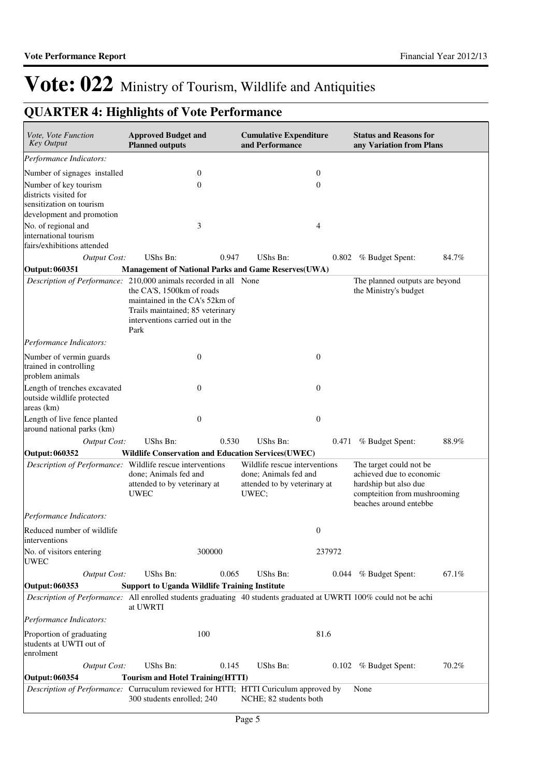# **QUARTER 4: Highlights of Vote Performance**

| Vote, Vote Function<br><b>Key Output</b>                                   | <b>Approved Budget and</b><br><b>Planned outputs</b>                                                                                                                                                            | <b>Cumulative Expenditure</b><br>and Performance                                                                   | <b>Status and Reasons for</b><br>any Variation from Plans                                                                              |
|----------------------------------------------------------------------------|-----------------------------------------------------------------------------------------------------------------------------------------------------------------------------------------------------------------|--------------------------------------------------------------------------------------------------------------------|----------------------------------------------------------------------------------------------------------------------------------------|
| Performance Indicators:                                                    |                                                                                                                                                                                                                 |                                                                                                                    |                                                                                                                                        |
| Number of signages installed                                               | $\boldsymbol{0}$                                                                                                                                                                                                | $\mathbf{0}$                                                                                                       |                                                                                                                                        |
| Number of key tourism<br>districts visited for                             | $\mathbf{0}$                                                                                                                                                                                                    | $\theta$                                                                                                           |                                                                                                                                        |
| sensitization on tourism<br>development and promotion                      |                                                                                                                                                                                                                 |                                                                                                                    |                                                                                                                                        |
| No. of regional and<br>international tourism<br>fairs/exhibitions attended | 3                                                                                                                                                                                                               | 4                                                                                                                  |                                                                                                                                        |
| <b>Output Cost:</b>                                                        | UShs Bn:<br>0.947                                                                                                                                                                                               | UShs Bn:                                                                                                           | 84.7%<br>0.802 % Budget Spent:                                                                                                         |
| Output: 060351                                                             | Management of National Parks and Game Reserves(UWA)                                                                                                                                                             |                                                                                                                    |                                                                                                                                        |
|                                                                            | Description of Performance: 210,000 animals recorded in all None<br>the CA'S, 1500km of roads<br>maintained in the CA's 52km of<br>Trails maintained; 85 veterinary<br>interventions carried out in the<br>Park |                                                                                                                    | The planned outputs are beyond<br>the Ministry's budget                                                                                |
| Performance Indicators:                                                    |                                                                                                                                                                                                                 |                                                                                                                    |                                                                                                                                        |
| Number of vermin guards<br>trained in controlling<br>problem animals       | $\boldsymbol{0}$                                                                                                                                                                                                | $\boldsymbol{0}$                                                                                                   |                                                                                                                                        |
| Length of trenches excavated<br>outside wildlife protected<br>areas (km)   | $\boldsymbol{0}$                                                                                                                                                                                                | $\theta$                                                                                                           |                                                                                                                                        |
| Length of live fence planted<br>around national parks (km)                 | $\theta$                                                                                                                                                                                                        | $\mathbf{0}$                                                                                                       |                                                                                                                                        |
| <b>Output Cost:</b>                                                        | UShs Bn:<br>0.530                                                                                                                                                                                               | UShs Bn:                                                                                                           | 0.471 % Budget Spent:<br>88.9%                                                                                                         |
| Output: 060352                                                             | <b>Wildlife Conservation and Education Services(UWEC)</b>                                                                                                                                                       |                                                                                                                    |                                                                                                                                        |
|                                                                            | Description of Performance: Wildlife rescue interventions<br>done; Animals fed and<br>attended to by veterinary at<br><b>UWEC</b>                                                                               | Wildlife rescue interventions<br>done; Animals fed and<br>attended to by veterinary at<br>UWEC;                    | The target could not be<br>achieved due to economic<br>hardship but also due<br>compteition from mushrooming<br>beaches around entebbe |
| Performance Indicators:                                                    |                                                                                                                                                                                                                 |                                                                                                                    |                                                                                                                                        |
| Reduced number of wildlife<br>interventions                                |                                                                                                                                                                                                                 | $\boldsymbol{0}$                                                                                                   |                                                                                                                                        |
| No. of visitors entering<br><b>UWEC</b>                                    | 300000                                                                                                                                                                                                          | 237972                                                                                                             |                                                                                                                                        |
| <b>Output Cost:</b>                                                        | UShs Bn:<br>0.065                                                                                                                                                                                               | UShs Bn:                                                                                                           | 67.1%<br>0.044 % Budget Spent:                                                                                                         |
| Output: 060353                                                             | <b>Support to Uganda Wildlife Training Institute</b>                                                                                                                                                            |                                                                                                                    |                                                                                                                                        |
|                                                                            | at UWRTI                                                                                                                                                                                                        | Description of Performance: All enrolled students graduating 40 students graduated at UWRTI 100% could not be achi |                                                                                                                                        |
| Performance Indicators:                                                    |                                                                                                                                                                                                                 |                                                                                                                    |                                                                                                                                        |
| Proportion of graduating<br>students at UWTI out of<br>enrolment           | 100                                                                                                                                                                                                             | 81.6                                                                                                               |                                                                                                                                        |
| <b>Output Cost:</b>                                                        | UShs Bn:<br>0.145                                                                                                                                                                                               | UShs Bn:                                                                                                           | 70.2%<br>0.102 % Budget Spent:                                                                                                         |
| <b>Output: 060354</b>                                                      | <b>Tourism and Hotel Training (HTTI)</b>                                                                                                                                                                        |                                                                                                                    |                                                                                                                                        |
|                                                                            | Description of Performance: Curruculum reviewed for HTTI; HTTI Curiculum approved by<br>300 students enrolled; 240                                                                                              | NCHE; 82 students both                                                                                             | None                                                                                                                                   |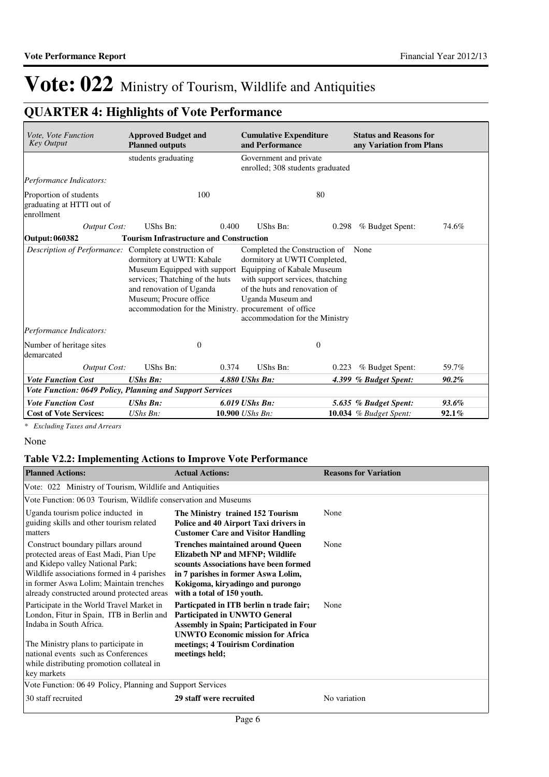## **QUARTER 4: Highlights of Vote Performance**

| Vote, Vote Function<br><b>Key Output</b>                          | <b>Approved Budget and</b><br><b>Planned outputs</b>                                                                                                                                                                                   | <b>Cumulative Expenditure</b><br>and Performance                                                                                                                                          |       | <b>Status and Reasons for</b><br>any Variation from Plans |       |
|-------------------------------------------------------------------|----------------------------------------------------------------------------------------------------------------------------------------------------------------------------------------------------------------------------------------|-------------------------------------------------------------------------------------------------------------------------------------------------------------------------------------------|-------|-----------------------------------------------------------|-------|
|                                                                   | students graduating                                                                                                                                                                                                                    | Government and private<br>enrolled; 308 students graduated                                                                                                                                |       |                                                           |       |
| Performance Indicators:                                           |                                                                                                                                                                                                                                        |                                                                                                                                                                                           |       |                                                           |       |
| Proportion of students<br>graduating at HTTI out of<br>enrollment | 100                                                                                                                                                                                                                                    |                                                                                                                                                                                           | 80    |                                                           |       |
| Output Cost:                                                      | UShs Bn:                                                                                                                                                                                                                               | UShs Bn:<br>0.400                                                                                                                                                                         | 0.298 | % Budget Spent:                                           | 74.6% |
| Output: 060382                                                    | <b>Tourism Infrastructure and Construction</b>                                                                                                                                                                                         |                                                                                                                                                                                           |       |                                                           |       |
| Description of Performance: Complete construction of              | dormitory at UWTI: Kabale<br>Museum Equipped with support Equipping of Kabale Museum<br>services; Thatching of the huts<br>and renovation of Uganda<br>Museum: Procure office<br>accommodation for the Ministry. procurement of office | Completed the Construction of<br>dormitory at UWTI Completed,<br>with support services, thatching<br>of the huts and renovation of<br>Uganda Museum and<br>accommodation for the Ministry |       | None                                                      |       |
| Performance Indicators:                                           |                                                                                                                                                                                                                                        |                                                                                                                                                                                           |       |                                                           |       |
| Number of heritage sites<br>demarcated                            | $\boldsymbol{0}$                                                                                                                                                                                                                       | $\overline{0}$                                                                                                                                                                            |       |                                                           |       |
| <b>Output Cost:</b>                                               | UShs Bn:                                                                                                                                                                                                                               | UShs Bn:<br>0.374                                                                                                                                                                         | 0.223 | % Budget Spent:                                           | 59.7% |
| <b>Vote Function Cost</b>                                         | <b>UShs Bn:</b>                                                                                                                                                                                                                        | 4.880 UShs Bn:                                                                                                                                                                            |       | 4.399 % Budget Spent:                                     | 90.2% |
| <b>Vote Function: 0649 Policy, Planning and Support Services</b>  |                                                                                                                                                                                                                                        |                                                                                                                                                                                           |       |                                                           |       |
| <b>Vote Function Cost</b>                                         | <b>UShs Bn:</b>                                                                                                                                                                                                                        | 6.019 UShs Bn:                                                                                                                                                                            |       | 5.635 % Budget Spent:                                     | 93.6% |
| <b>Cost of Vote Services:</b>                                     | $UShs Bn$ :                                                                                                                                                                                                                            | 10.900 UShs Bn:                                                                                                                                                                           |       | <b>10.034</b> % Budget Spent:                             | 92.1% |

*\* Excluding Taxes and Arrears*

### None

## **Table V2.2: Implementing Actions to Improve Vote Performance**

| <b>Planned Actions:</b>                                                                                                                                                                                                                                      | <b>Actual Actions:</b>                                                                                                                                                                                                       | <b>Reasons for Variation</b> |  |  |  |  |  |  |  |
|--------------------------------------------------------------------------------------------------------------------------------------------------------------------------------------------------------------------------------------------------------------|------------------------------------------------------------------------------------------------------------------------------------------------------------------------------------------------------------------------------|------------------------------|--|--|--|--|--|--|--|
| Vote: 022 Ministry of Tourism, Wildlife and Antiquities                                                                                                                                                                                                      |                                                                                                                                                                                                                              |                              |  |  |  |  |  |  |  |
| Vote Function: 0603 Tourism, Wildlife conservation and Museums                                                                                                                                                                                               |                                                                                                                                                                                                                              |                              |  |  |  |  |  |  |  |
| Uganda tourism police inducted in<br>guiding skills and other tourism related<br>matters                                                                                                                                                                     | The Ministry trained 152 Tourism<br>Police and 40 Airport Taxi drivers in<br><b>Customer Care and Visitor Handling</b>                                                                                                       | None                         |  |  |  |  |  |  |  |
| Construct boundary pillars around<br>protected areas of East Madi, Pian Upe<br>and Kidepo valley National Park;<br>Wildlife associations formed in 4 parishes<br>in former Aswa Lolim; Maintain trenches<br>already constructed around protected areas       | <b>Trenches maintained around Queen</b><br>Elizabeth NP and MFNP; Wildlife<br>scounts Associations have been formed<br>in 7 parishes in former Aswa Lolim,<br>Kokigoma, kiryadingo and purongo<br>with a total of 150 youth. | None                         |  |  |  |  |  |  |  |
| Participate in the World Travel Market in<br>London, Fitur in Spain, ITB in Berlin and<br>Indaba in South Africa.<br>The Ministry plans to participate in<br>national events such as Conferences<br>while distributing promotion collateal in<br>key markets | Particpated in ITB berlin n trade fair;<br>Participated in UNWTO General<br><b>Assembly in Spain; Participated in Four</b><br><b>UNWTO Economic mission for Africa</b><br>meetings; 4 Touirism Cordination<br>meetings held; | None                         |  |  |  |  |  |  |  |
| Vote Function: 06.49 Policy, Planning and Support Services                                                                                                                                                                                                   |                                                                                                                                                                                                                              |                              |  |  |  |  |  |  |  |
| 30 staff recruited                                                                                                                                                                                                                                           | 29 staff were recruited                                                                                                                                                                                                      | No variation                 |  |  |  |  |  |  |  |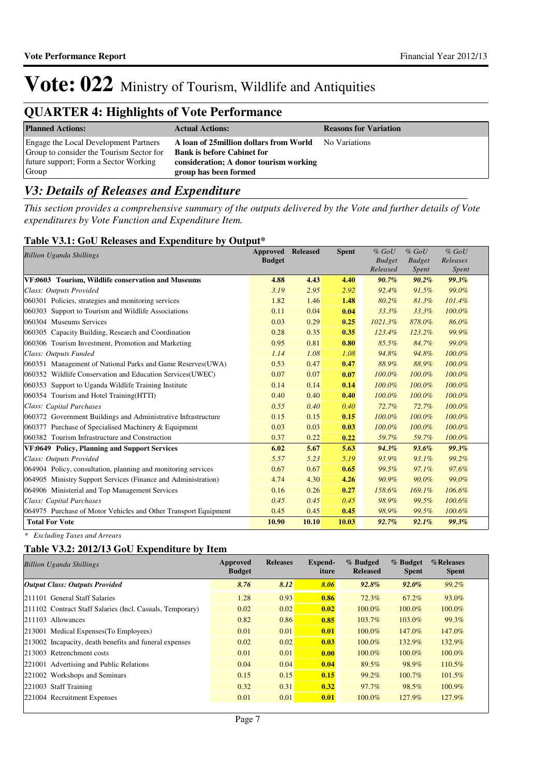## **QUARTER 4: Highlights of Vote Performance**

| <b>Planned Actions:</b>                                                                                                             | <b>Actual Actions:</b>                                                                                                                                        | <b>Reasons for Variation</b> |
|-------------------------------------------------------------------------------------------------------------------------------------|---------------------------------------------------------------------------------------------------------------------------------------------------------------|------------------------------|
| Engage the Local Development Partners<br>Group to consider the Tourism Sector for<br>future support; Form a Sector Working<br>Group | A loan of 25 million dollars from World No Variations<br><b>Bank is before Cabinet for</b><br>consideration; A donor tourism working<br>group has been formed |                              |

## *V3: Details of Releases and Expenditure*

*This section provides a comprehensive summary of the outputs delivered by the Vote and further details of Vote expenditures by Vote Function and Expenditure Item.*

## **Table V3.1: GoU Releases and Expenditure by Output\***

| <b>Billion Uganda Shillings</b>                                 | <b>Approved</b><br><b>Budget</b> | <b>Released</b> | <b>Spent</b> | $%$ GoU<br><b>Budget</b><br>Released | $%$ GoU<br><b>Budget</b><br>Spent | $%$ GoU<br>Releases<br>Spent |
|-----------------------------------------------------------------|----------------------------------|-----------------|--------------|--------------------------------------|-----------------------------------|------------------------------|
| VF:0603 Tourism, Wildlife conservation and Museums              | 4.88                             | 4.43            | 4.40         | $90.7\%$                             | $90.2\%$                          | 99.3%                        |
| Class: Outputs Provided                                         | 3.19                             | 2.95            | 2.92         | 92.4%                                | 91.5%                             | 99.0%                        |
| 060301 Policies, strategies and monitoring services             | 1.82                             | 1.46            | 1.48         | 80.2%                                | 81.3%                             | 101.4%                       |
| 060303 Support to Tourism and Wildlife Associations             | 0.11                             | 0.04            | 0.04         | 33.3%                                | 33.3%                             | 100.0%                       |
| 060304 Museums Services                                         | 0.03                             | 0.29            | 0.25         | $1021.3\%$                           | 878.0%                            | 86.0%                        |
| 060305 Capacity Building, Research and Coordination             | 0.28                             | 0.35            | 0.35         | 123.4%                               | $123.2\%$                         | 99.9%                        |
| 060306 Tourism Investment, Promotion and Marketing              | 0.95                             | 0.81            | 0.80         | 85.5%                                | 84.7%                             | 99.0%                        |
| Class: Outputs Funded                                           | 1.14                             | 1.08            | 1.08         | 94.8%                                | 94.8%                             | 100.0%                       |
| 060351 Management of National Parks and Game Reserves(UWA)      | 0.53                             | 0.47            | 0.47         | 88.9%                                | 88.9%                             | 100.0%                       |
| 060352 Wildlife Conservation and Education Services(UWEC)       | 0.07                             | 0.07            | 0.07         | 100.0%                               | 100.0%                            | 100.0%                       |
| 060353 Support to Uganda Wildlife Training Institute            | 0.14                             | 0.14            | 0.14         | 100.0%                               | 100.0%                            | 100.0%                       |
| 060354 Tourism and Hotel Training (HTTI)                        | 0.40                             | 0.40            | 0.40         | 100.0%                               | 100.0%                            | 100.0%                       |
| Class: Capital Purchases                                        | 0.55                             | 0.40            | 0.40         | 72.7%                                | 72.7%                             | 100.0%                       |
| 060372 Government Buildings and Administrative Infrastructure   | 0.15                             | 0.15            | 0.15         | 100.0%                               | 100.0%                            | 100.0%                       |
| 060377 Purchase of Specialised Machinery & Equipment            | 0.03                             | 0.03            | 0.03         | 100.0%                               | 100.0%                            | 100.0%                       |
| 060382 Tourism Infrastructure and Construction                  | 0.37                             | 0.22            | 0.22         | 59.7%                                | 59.7%                             | 100.0%                       |
| VF:0649 Policy, Planning and Support Services                   | 6.02                             | 5.67            | 5.63         | 94.3%                                | $93.6\%$                          | 99.3%                        |
| Class: Outputs Provided                                         | 5.57                             | 5.23            | 5.19         | 93.9%                                | 93.1%                             | 99.2%                        |
| 064904 Policy, consultation, planning and monitoring services   | 0.67                             | 0.67            | 0.65         | 99.5%                                | 97.1%                             | 97.6%                        |
| 064905 Ministry Support Services (Finance and Administration)   | 4.74                             | 4.30            | 4.26         | 90.9%                                | 90.0%                             | 99.0%                        |
| 064906 Ministerial and Top Management Services                  | 0.16                             | 0.26            | 0.27         | 158.6%                               | 169.1%                            | 106.6%                       |
| Class: Capital Purchases                                        | 0.45                             | 0.45            | 0.45         | 98.9%                                | 99.5%                             | 100.6%                       |
| 064975 Purchase of Motor Vehicles and Other Transport Equipment | 0.45                             | 0.45            | 0.45         | 98.9%                                | 99.5%                             | 100.6%                       |
| <b>Total For Vote</b>                                           | 10.90                            | 10.10           | 10.03        | 92.7%                                | 92.1%                             | 99.3%                        |

*\* Excluding Taxes and Arrears*

## **Table V3.2: 2012/13 GoU Expenditure by Item**

| <b>Billion Uganda Shillings</b>                           | Approved<br><b>Budget</b> | <b>Releases</b> | Expend-<br>iture | % Budged<br><b>Released</b> | % Budget<br><b>Spent</b> | %Releases<br><b>Spent</b> |
|-----------------------------------------------------------|---------------------------|-----------------|------------------|-----------------------------|--------------------------|---------------------------|
| <b>Output Class: Outputs Provided</b>                     | 8.76                      | 8.12            | 8.06             | $92.8\%$                    | $92.0\%$                 | $99.2\%$                  |
| 211101 General Staff Salaries                             | 1.28                      | 0.93            | 0.86             | 72.3%                       | 67.2%                    | 93.0%                     |
| 211102 Contract Staff Salaries (Incl. Casuals, Temporary) | 0.02                      | 0.02            | 0.02             | 100.0%                      | 100.0%                   | 100.0%                    |
| $ 211103$ Allowances                                      | 0.82                      | 0.86            | 0.85             | 103.7%                      | 103.0%                   | 99.3%                     |
| 213001 Medical Expenses (To Employees)                    | 0.01                      | 0.01            | 0.01             | $100.0\%$                   | 147.0%                   | 147.0%                    |
| 213002 Incapacity, death benefits and funeral expenses    | 0.02                      | 0.02            | 0.03             | 100.0%                      | 132.9%                   | 132.9%                    |
| 213003 Retrenchment costs                                 | 0.01                      | 0.01            | 0.00             | 100.0%                      | 100.0%                   | 100.0%                    |
| 221001 Advertising and Public Relations                   | 0.04                      | 0.04            | 0.04             | 89.5%                       | 98.9%                    | 110.5%                    |
| 221002 Workshops and Seminars                             | 0.15                      | 0.15            | 0.15             | 99.2%                       | 100.7%                   | 101.5%                    |
| 221003 Staff Training                                     | 0.32                      | 0.31            | 0.32             | 97.7%                       | 98.5%                    | 100.9%                    |
| 221004 Recruitment Expenses                               | 0.01                      | 0.01            | 0.01             | 100.0%                      | 127.9%                   | 127.9%                    |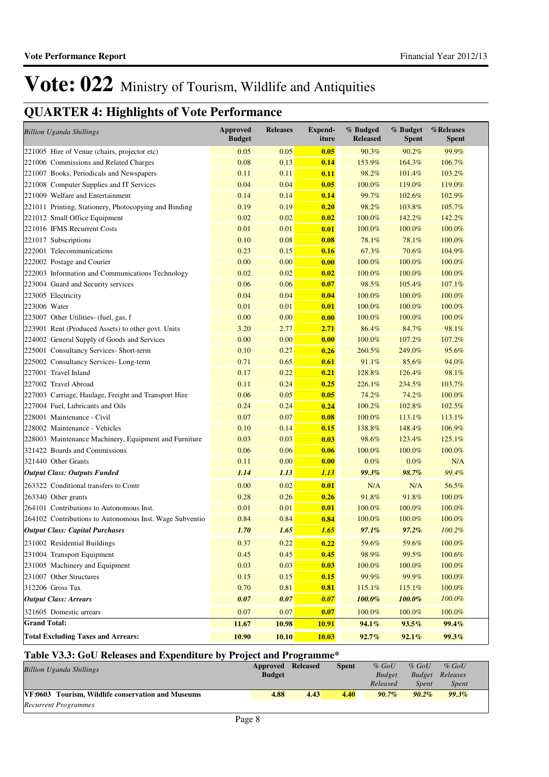## **QUARTER 4: Highlights of Vote Performance**

| <b>Billion Uganda Shillings</b>                         | <b>Approved</b><br><b>Budget</b> | <b>Releases</b> | <b>Expend-</b><br>iture | % Budged<br><b>Released</b> | % Budget<br><b>Spent</b> | %Releases<br><b>Spent</b> |
|---------------------------------------------------------|----------------------------------|-----------------|-------------------------|-----------------------------|--------------------------|---------------------------|
| 221005 Hire of Venue (chairs, projector etc)            | 0.05                             | 0.05            | 0.05                    | 90.3%                       | 90.2%                    | 99.9%                     |
| 221006 Commissions and Related Charges                  | 0.08                             | 0.13            | 0.14                    | 153.9%                      | 164.3%                   | 106.7%                    |
| 221007 Books, Periodicals and Newspapers                | 0.11                             | 0.11            | 0.11                    | 98.2%                       | 101.4%                   | 103.2%                    |
| 221008 Computer Supplies and IT Services                | 0.04                             | 0.04            | 0.05                    | 100.0%                      | 119.0%                   | 119.0%                    |
| 221009 Welfare and Entertainment                        | 0.14                             | 0.14            | 0.14                    | 99.7%                       | 102.6%                   | 102.9%                    |
| 221011 Printing, Stationery, Photocopying and Binding   | 0.19                             | 0.19            | 0.20                    | 98.2%                       | 103.8%                   | 105.7%                    |
| 221012 Small Office Equipment                           | 0.02                             | 0.02            | 0.02                    | 100.0%                      | 142.2%                   | 142.2%                    |
| 221016 IFMS Recurrent Costs                             | 0.01                             | 0.01            | 0.01                    | 100.0%                      | 100.0%                   | 100.0%                    |
| 221017 Subscriptions                                    | 0.10                             | 0.08            | 0.08                    | 78.1%                       | 78.1%                    | 100.0%                    |
| 222001 Telecommunications                               | 0.23                             | 0.15            | 0.16                    | 67.3%                       | 70.6%                    | 104.9%                    |
| 222002 Postage and Courier                              | 0.00                             | 0.00            | 0.00                    | 100.0%                      | 100.0%                   | 100.0%                    |
| 222003 Information and Communications Technology        | 0.02                             | 0.02            | 0.02                    | 100.0%                      | 100.0%                   | 100.0%                    |
| 223004 Guard and Security services                      | 0.06                             | 0.06            | 0.07                    | 98.5%                       | 105.4%                   | 107.1%                    |
| 223005 Electricity                                      | 0.04                             | 0.04            | 0.04                    | 100.0%                      | 100.0%                   | 100.0%                    |
| 223006 Water                                            | 0.01                             | 0.01            | 0.01                    | 100.0%                      | 100.0%                   | 100.0%                    |
| 223007 Other Utilities- (fuel, gas, f                   | 0.00                             | 0.00            | 0.00                    | 100.0%                      | 100.0%                   | 100.0%                    |
| 223901 Rent (Produced Assets) to other govt. Units      | 3.20                             | 2.77            | 2.71                    | 86.4%                       | 84.7%                    | 98.1%                     |
| 224002 General Supply of Goods and Services             | 0.00                             | 0.00            | 0.00                    | 100.0%                      | 107.2%                   | 107.2%                    |
| 225001 Consultancy Services- Short-term                 | 0.10                             | 0.27            | 0.26                    | 260.5%                      | 249.0%                   | 95.6%                     |
| 225002 Consultancy Services-Long-term                   | 0.71                             | 0.65            | 0.61                    | 91.1%                       | 85.6%                    | 94.0%                     |
| 227001 Travel Inland                                    | 0.17                             | 0.22            | 0.21                    | 128.8%                      | 126.4%                   | 98.1%                     |
| 227002 Travel Abroad                                    | 0.11                             | 0.24            | 0.25                    | 226.1%                      | 234.5%                   | 103.7%                    |
| 227003 Carriage, Haulage, Freight and Transport Hire    | 0.06                             | 0.05            | 0.05                    | 74.2%                       | 74.2%                    | 100.0%                    |
| 227004 Fuel, Lubricants and Oils                        | 0.24                             | 0.24            | 0.24                    | 100.2%                      | 102.8%                   | 102.5%                    |
| 228001 Maintenance - Civil                              | 0.07                             | 0.07            | 0.08                    | 100.0%                      | 113.1%                   | 113.1%                    |
| 228002 Maintenance - Vehicles                           | 0.10                             | 0.14            | 0.15                    | 138.8%                      | 148.4%                   | 106.9%                    |
| 228003 Maintenance Machinery, Equipment and Furniture   | 0.03                             | 0.03            | 0.03                    | 98.6%                       | 123.4%                   | 125.1%                    |
| 321422 Boards and Commissions                           | 0.06                             | 0.06            | 0.06                    | 100.0%                      | 100.0%                   | 100.0%                    |
| 321440 Other Grants                                     | 0.11                             | 0.00            | 0.00                    | 0.0%                        | $0.0\%$                  | N/A                       |
| <b>Output Class: Outputs Funded</b>                     | 1.14                             | 1.13            | <i>1.13</i>             | 99.3%                       | 98.7%                    | 99.4%                     |
| 263322 Conditional transfers to Contr                   | 0.00                             | 0.02            | 0.01                    | N/A                         | N/A                      | 56.5%                     |
| 263340 Other grants                                     | 0.28                             | 0.26            | 0.26                    | 91.8%                       | 91.8%                    | 100.0%                    |
| 264101 Contributions to Autonomous Inst.                | 0.01                             | 0.01            | 0.01                    | 100.0%                      | 100.0%                   | 100.0%                    |
| 264102 Contributions to Autonomous Inst. Wage Subventio | 0.84                             | 0.84            | 0.84                    | 100.0%                      | 100.0%                   | 100.0%                    |
| <b>Output Class: Capital Purchases</b>                  | 1.70                             | 1.65            | 1.65                    | 97.1%                       | 97.2%                    | 100.2%                    |
| 231002 Residential Buildings                            | 0.37                             | 0.22            | 0.22                    | 59.6%                       | 59.6%                    | 100.0%                    |
| 231004 Transport Equipment                              | 0.45                             | 0.45            | 0.45                    | 98.9%                       | 99.5%                    | 100.6%                    |
| 231005 Machinery and Equipment                          | 0.03                             | 0.03            | 0.03                    | 100.0%                      | $100.0\%$                | 100.0%                    |
| 231007 Other Structures                                 | 0.15                             | 0.15            | 0.15                    | 99.9%                       | 99.9%                    | 100.0%                    |
| 312206 Gross Tax                                        | 0.70                             | 0.81            | 0.81                    | 115.1%                      | 115.1%                   | 100.0%                    |
| <b>Output Class: Arrears</b>                            | 0.07                             | 0.07            | 0.07                    | $100.0\%$                   | $100.0\%$                | $100.0\%$                 |
| 321605 Domestic arrears                                 | 0.07                             | 0.07            | 0.07                    | 100.0%                      | 100.0%                   | 100.0%                    |
| <b>Grand Total:</b>                                     | 11.67                            | 10.98           | <b>10.91</b>            | 94.1%                       | 93.5%                    | 99.4%                     |
| <b>Total Excluding Taxes and Arrears:</b>               | 10.90                            | 10.10           | 10.03                   | 92.7%                       | 92.1%                    | 99.3%                     |

## **Table V3.3: GoU Releases and Expenditure by Project and Programme\***

| <b>Billion Uganda Shillings</b>                    | Approved      | <b>Released</b> | <b>Spent</b> | $%$ GoU       | $%$ GoU  | $%$ GoU  |  |
|----------------------------------------------------|---------------|-----------------|--------------|---------------|----------|----------|--|
|                                                    | <b>Budget</b> |                 |              | <b>Budget</b> | Budget   | Releases |  |
|                                                    |               |                 |              | Released      | Spent    | Spent    |  |
| VF:0603 Tourism, Wildlife conservation and Museums | 4.88          | 4.43            | 4.40         | $90.7\%$      | $90.2\%$ | 99.3%    |  |
| <b>Recurrent Programmes</b>                        |               |                 |              |               |          |          |  |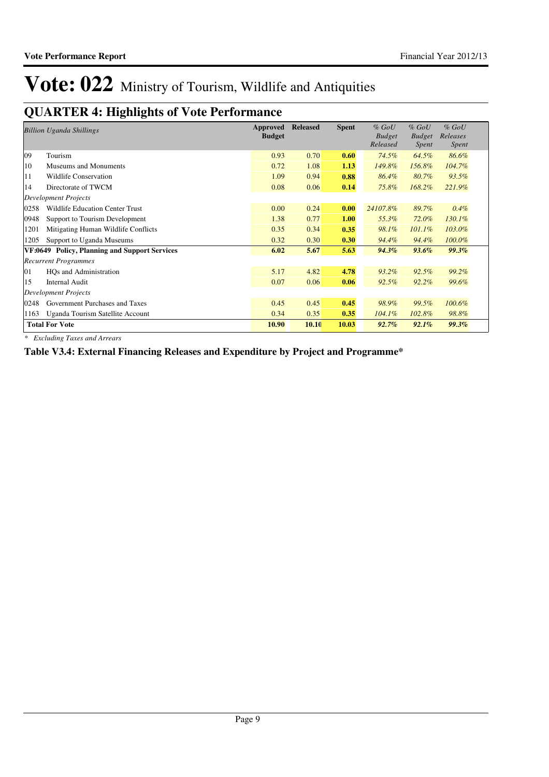## **QUARTER 4: Highlights of Vote Performance**

|                             | <b>Billion Uganda Shillings</b>               | Approved<br><b>Budget</b> | <b>Released</b> | <b>Spent</b> | $%$ GoU<br><b>Budget</b><br>Released | $%$ GoU<br><b>Budget</b><br><i>Spent</i> | $%$ GoU<br>Releases<br><i>Spent</i> |
|-----------------------------|-----------------------------------------------|---------------------------|-----------------|--------------|--------------------------------------|------------------------------------------|-------------------------------------|
| 09                          | Tourism                                       | 0.93                      | 0.70            | 0.60         | 74.5%                                | 64.5%                                    | 86.6%                               |
| 10                          | Museums and Monuments                         | 0.72                      | 1.08            | 1.13         | 149.8%                               | 156.8%                                   | 104.7%                              |
| 11                          | <b>Wildlife Conservation</b>                  | 1.09                      | 0.94            | 0.88         | 86.4%                                | 80.7%                                    | 93.5%                               |
| 14                          | Directorate of TWCM                           | 0.08                      | 0.06            | 0.14         | 75.8%                                | 168.2%                                   | 221.9%                              |
|                             | <b>Development Projects</b>                   |                           |                 |              |                                      |                                          |                                     |
| 0258                        | <b>Wildlife Education Center Trust</b>        | 0.00                      | 0.24            | 0.00         | 24107.8%                             | 89.7%                                    | 0.4%                                |
| 0948                        | Support to Tourism Development                | 1.38                      | 0.77            | 1.00         | 55.3%                                | 72.0%                                    | 130.1%                              |
| 1201                        | Mitigating Human Wildlife Conflicts           | 0.35                      | 0.34            | 0.35         | 98.1%                                | $101.1\%$                                | 103.0%                              |
| 1205                        | Support to Uganda Museums                     | 0.32                      | 0.30            | 0.30         | 94.4%                                | 94.4%                                    | 100.0%                              |
|                             | VF:0649 Policy, Planning and Support Services | 6.02                      | 5.67            | 5.63         | $94.3\%$                             | 93.6%                                    | 99.3%                               |
|                             | <b>Recurrent Programmes</b>                   |                           |                 |              |                                      |                                          |                                     |
| 01                          | HQs and Administration                        | 5.17                      | 4.82            | 4.78         | 93.2%                                | 92.5%                                    | 99.2%                               |
| 15                          | <b>Internal Audit</b>                         | 0.07                      | 0.06            | 0.06         | 92.5%                                | $92.2\%$                                 | 99.6%                               |
| <b>Development Projects</b> |                                               |                           |                 |              |                                      |                                          |                                     |
| 0248                        | Government Purchases and Taxes                | 0.45                      | 0.45            | 0.45         | 98.9%                                | 99.5%                                    | 100.6%                              |
| 1163                        | Uganda Tourism Satellite Account              | 0.34                      | 0.35            | 0.35         | $104.1\%$                            | 102.8%                                   | 98.8%                               |
|                             | <b>Total For Vote</b>                         | 10.90                     | <b>10.10</b>    | 10.03        | $92.7\%$                             | $92.1\%$                                 | 99.3%                               |

*\* Excluding Taxes and Arrears*

**Table V3.4: External Financing Releases and Expenditure by Project and Programme\***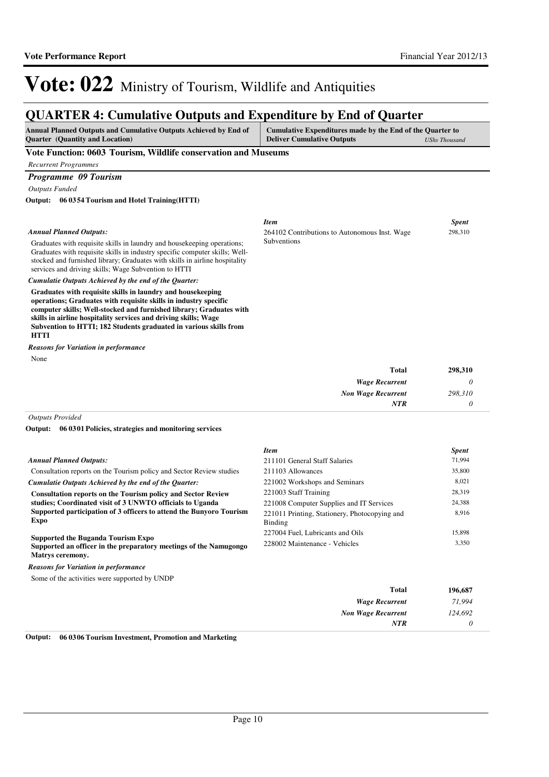298,310

*124,692 0*

*Item Spent*

*Non Wage Recurrent*

*NTR*

264102 Contributions to Autonomous Inst. Wage

# Vote: 022 Ministry of Tourism, Wildlife and Antiquities

## **QUARTER 4: Cumulative Outputs and Expenditure by End of Quarter**

| <b>Ouarter</b> (Quantity and Location)<br><b>Deliver Cumulative Outputs</b><br><b>UShs Thousand</b> | <b>Annual Planned Outputs and Cumulative Outputs Achieved by End of</b> | Cumulative Expenditures made by the End of the Quarter to |  |
|-----------------------------------------------------------------------------------------------------|-------------------------------------------------------------------------|-----------------------------------------------------------|--|
|                                                                                                     |                                                                         |                                                           |  |

Subventions

### **Vote Function: 0603 Tourism, Wildlife conservation and Museums**

*Recurrent Programmes*

## *Programme 09 Tourism*

*Outputs Funded*

**06 0354 Tourism and Hotel Training(HTTI) Output:**

### *Annual Planned Outputs:*

Graduates with requisite skills in laundry and housekeeping operations; Graduates with requisite skills in industry specific computer skills; Wellstocked and furnished library; Graduates with skills in airline hospitality services and driving skills; Wage Subvention to HTTI

*Cumulatie Outputs Achieved by the end of the Quarter:*

**Graduates with requisite skills in laundry and housekeeping operations; Graduates with requisite skills in industry specific computer skills; Well-stocked and furnished library; Graduates with skills in airline hospitality services and driving skills; Wage Subvention to HTTI; 182 Students graduated in various skills from HTTI**

None *Reasons for Variation in performance*

| 298,310 | Total                     |
|---------|---------------------------|
|         | <b>Wage Recurrent</b>     |
| 298,310 | <b>Non Wage Recurrent</b> |
|         | <b>NTR</b>                |
|         |                           |

*Outputs Provided*

**06 0301 Policies, strategies and monitoring services Output:**

|                                                                                                                                                                     | Item                                                     | <b>Spent</b> |
|---------------------------------------------------------------------------------------------------------------------------------------------------------------------|----------------------------------------------------------|--------------|
| <b>Annual Planned Outputs:</b>                                                                                                                                      | 211101 General Staff Salaries                            | 71,994       |
| Consultation reports on the Tourism policy and Sector Review studies                                                                                                | 211103 Allowances                                        | 35,800       |
| Cumulatie Outputs Achieved by the end of the Ouarter:                                                                                                               | 221002 Workshops and Seminars                            | 8,021        |
| <b>Consultation reports on the Tourism policy and Sector Review</b>                                                                                                 | 221003 Staff Training                                    | 28,319       |
| studies; Coordinated visit of 3 UNWTO officials to Uganda                                                                                                           | 221008 Computer Supplies and IT Services                 | 24,388       |
| Supported participation of 3 officers to attend the Bunyoro Tourism<br>Expo                                                                                         | 221011 Printing, Stationery, Photocopying and<br>Binding | 8,916        |
|                                                                                                                                                                     | 227004 Fuel, Lubricants and Oils                         | 15,898       |
| <b>Supported the Buganda Tourism Expo</b><br>228002 Maintenance - Vehicles<br>Supported an officer in the preparatory meetings of the Namugongo<br>Matrys ceremony. |                                                          | 3,350        |
| <b>Reasons for Variation in performance</b>                                                                                                                         |                                                          |              |
| Some of the activities were supported by UNDP                                                                                                                       |                                                          |              |
|                                                                                                                                                                     | Total                                                    | 196,687      |
|                                                                                                                                                                     | <b>Wage Recurrent</b>                                    | 71,994       |

**Output: 06 0306 Tourism Investment, Promotion and Marketing**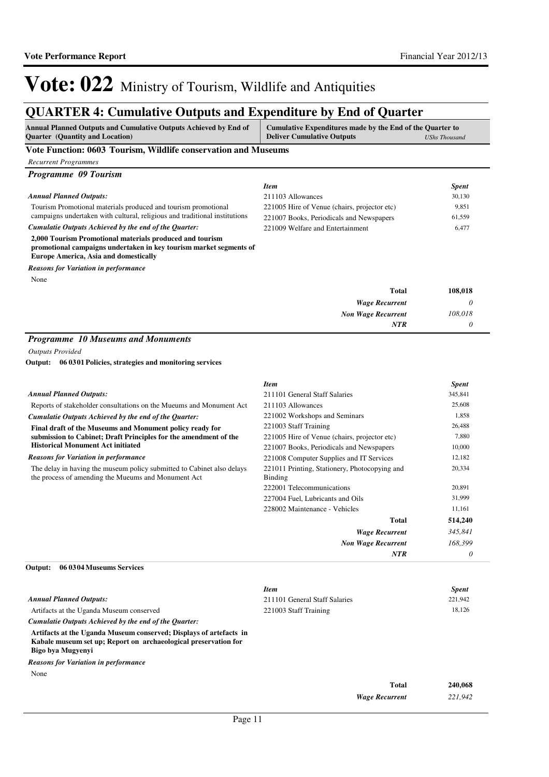## **QUARTER 4: Cumulative Outputs and Expenditure by End of Quarter**

| <b>Annual Planned Outputs and Cumulative Outputs Achieved by End of</b><br>Cumulative Expenditures made by the End of the Quarter to<br><b>Quarter</b> (Quantity and Location)<br><b>Deliver Cumulative Outputs</b> |                                                                 | <b>UShs Thousand</b> |  |
|---------------------------------------------------------------------------------------------------------------------------------------------------------------------------------------------------------------------|-----------------------------------------------------------------|----------------------|--|
| Vote Function: 0603 Tourism, Wildlife conservation and Museums                                                                                                                                                      |                                                                 |                      |  |
| <b>Recurrent Programmes</b>                                                                                                                                                                                         |                                                                 |                      |  |
| Programme 09 Tourism                                                                                                                                                                                                |                                                                 |                      |  |
|                                                                                                                                                                                                                     | <b>Item</b>                                                     | <b>Spent</b>         |  |
| <b>Annual Planned Outputs:</b>                                                                                                                                                                                      | 211103 Allowances                                               | 30,130               |  |
| Tourism Promotional materials produced and tourism promotional                                                                                                                                                      | 221005 Hire of Venue (chairs, projector etc)                    | 9,851                |  |
| campaigns undertaken with cultural, religious and traditional institutions                                                                                                                                          | 221007 Books, Periodicals and Newspapers                        | 61,559               |  |
| Cumulatie Outputs Achieved by the end of the Quarter:                                                                                                                                                               | 221009 Welfare and Entertainment                                | 6,477                |  |
| 2,000 Tourism Promotional materials produced and tourism<br>promotional campaigns undertaken in key tourism market segments of<br><b>Europe America, Asia and domestically</b>                                      |                                                                 |                      |  |
| <b>Reasons for Variation in performance</b>                                                                                                                                                                         |                                                                 |                      |  |
| None                                                                                                                                                                                                                |                                                                 |                      |  |
|                                                                                                                                                                                                                     | <b>Total</b>                                                    | 108,018              |  |
|                                                                                                                                                                                                                     | <b>Wage Recurrent</b>                                           | 0                    |  |
|                                                                                                                                                                                                                     | <b>Non Wage Recurrent</b>                                       | 108,018              |  |
|                                                                                                                                                                                                                     | <b>NTR</b>                                                      | $\theta$             |  |
| 06 03 01 Policies, strategies and monitoring services<br>Output:                                                                                                                                                    |                                                                 |                      |  |
|                                                                                                                                                                                                                     | <b>Item</b>                                                     | <b>Spent</b>         |  |
| <b>Annual Planned Outputs:</b>                                                                                                                                                                                      | 211101 General Staff Salaries                                   | 345,841              |  |
| Reports of stakeholder consultations on the Mueums and Monument Act                                                                                                                                                 | 211103 Allowances                                               | 25,608               |  |
| Cumulatie Outputs Achieved by the end of the Quarter:                                                                                                                                                               | 221002 Workshops and Seminars                                   | 1,858                |  |
| Final draft of the Museums and Monument policy ready for                                                                                                                                                            | 221003 Staff Training                                           | 26,488               |  |
| submission to Cabinet; Draft Principles for the amendment of the<br><b>Historical Monument Act initiated</b>                                                                                                        | 221005 Hire of Venue (chairs, projector etc)                    | 7,880                |  |
|                                                                                                                                                                                                                     | 221007 Books, Periodicals and Newspapers                        | 10,000               |  |
| <b>Reasons for Variation in performance</b>                                                                                                                                                                         | 221008 Computer Supplies and IT Services                        | 12,182               |  |
| The delay in having the museum policy submitted to Cabinet also delays<br>the process of amending the Mueums and Monument Act                                                                                       | 221011 Printing, Stationery, Photocopying and<br><b>Binding</b> | 20,334               |  |
|                                                                                                                                                                                                                     | 222001 Telecommunications                                       | 20,891               |  |
|                                                                                                                                                                                                                     | 227004 Fuel. Lubricants and Oils                                | 31,999               |  |
|                                                                                                                                                                                                                     | 228002 Maintenance - Vehicles                                   | 11,161               |  |
|                                                                                                                                                                                                                     | Total                                                           | 514,240              |  |
|                                                                                                                                                                                                                     | <b>Wage Recurrent</b>                                           | 345,841              |  |
|                                                                                                                                                                                                                     | <b>Non Wage Recurrent</b>                                       | 168,399              |  |
|                                                                                                                                                                                                                     | <b>NTR</b>                                                      | $\theta$             |  |

|                                                                                                                                                            | <b>Item</b>                   |                       | <b>Spent</b> |
|------------------------------------------------------------------------------------------------------------------------------------------------------------|-------------------------------|-----------------------|--------------|
| <b>Annual Planned Outputs:</b>                                                                                                                             | 211101 General Staff Salaries |                       | 221,942      |
| Artifacts at the Uganda Museum conserved                                                                                                                   | 221003 Staff Training         |                       | 18,126       |
| Cumulatie Outputs Achieved by the end of the Ouarter:                                                                                                      |                               |                       |              |
| Artifacts at the Uganda Museum conserved; Displays of artefacts in<br>Kabale museum set up; Report on archaeological preservation for<br>Bigo bya Mugyenyi |                               |                       |              |
| <b>Reasons for Variation in performance</b>                                                                                                                |                               |                       |              |
| None                                                                                                                                                       |                               |                       |              |
|                                                                                                                                                            |                               | <b>Total</b>          | 240,068      |
|                                                                                                                                                            |                               | <b>Wage Recurrent</b> | 221,942      |
|                                                                                                                                                            |                               |                       |              |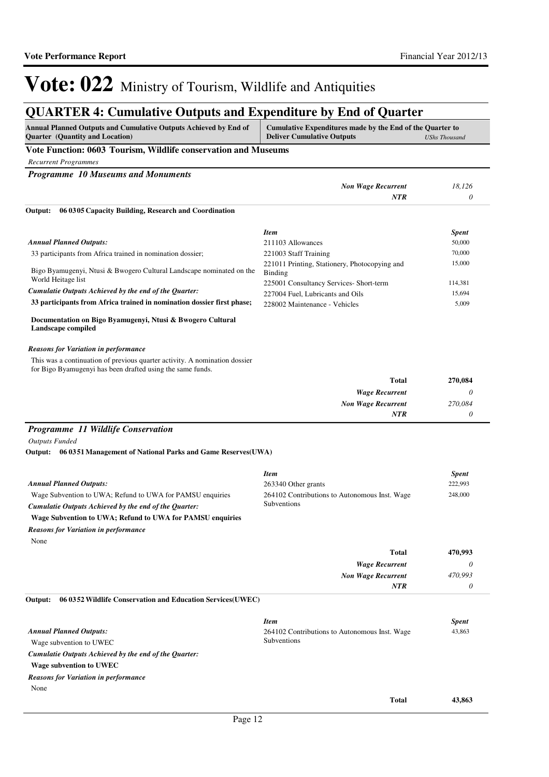# **QUARTER 4: Cumulative Outputs and Expenditure by End of Quarter**

| Annual Planned Outputs and Cumulative Outputs Achieved by End of<br><b>Quarter</b> (Quantity and Location)                               | Cumulative Expenditures made by the End of the Quarter to<br><b>Deliver Cumulative Outputs</b><br><b>UShs Thousand</b> |                  |  |
|------------------------------------------------------------------------------------------------------------------------------------------|------------------------------------------------------------------------------------------------------------------------|------------------|--|
| Vote Function: 0603 Tourism, Wildlife conservation and Museums                                                                           |                                                                                                                        |                  |  |
| <b>Recurrent Programmes</b>                                                                                                              |                                                                                                                        |                  |  |
| <b>Programme 10 Museums and Monuments</b>                                                                                                |                                                                                                                        |                  |  |
|                                                                                                                                          | <b>Non Wage Recurrent</b>                                                                                              | 18,126           |  |
|                                                                                                                                          | <b>NTR</b>                                                                                                             | 0                |  |
| 06 03 05 Capacity Building, Research and Coordination<br>Output:                                                                         |                                                                                                                        |                  |  |
|                                                                                                                                          | <b>Item</b>                                                                                                            | Spent            |  |
| <b>Annual Planned Outputs:</b>                                                                                                           | 211103 Allowances                                                                                                      | 50,000           |  |
| 33 participants from Africa trained in nomination dossier;                                                                               | 221003 Staff Training<br>221011 Printing, Stationery, Photocopying and                                                 | 70,000<br>15,000 |  |
| Bigo Byamugenyi, Ntusi & Bwogero Cultural Landscape nominated on the<br>World Heitage list                                               | Binding<br>225001 Consultancy Services- Short-term                                                                     | 114,381          |  |
| Cumulatie Outputs Achieved by the end of the Quarter:                                                                                    | 227004 Fuel, Lubricants and Oils                                                                                       | 15,694           |  |
| 33 participants from Africa trained in nomination dossier first phase;                                                                   | 228002 Maintenance - Vehicles                                                                                          | 5,009            |  |
| Documentation on Bigo Byamugenyi, Ntusi & Bwogero Cultural<br>Landscape compiled                                                         |                                                                                                                        |                  |  |
| <b>Reasons for Variation in performance</b>                                                                                              |                                                                                                                        |                  |  |
| This was a continuation of previous quarter activity. A nomination dossier<br>for Bigo Byamugenyi has been drafted using the same funds. |                                                                                                                        |                  |  |
|                                                                                                                                          | <b>Total</b>                                                                                                           | 270,084          |  |
|                                                                                                                                          | <b>Wage Recurrent</b>                                                                                                  | 0                |  |
|                                                                                                                                          | <b>Non Wage Recurrent</b>                                                                                              | 270,084          |  |
|                                                                                                                                          | NTR                                                                                                                    | 0                |  |
| Programme 11 Wildlife Conservation                                                                                                       |                                                                                                                        |                  |  |
| <b>Outputs Funded</b>                                                                                                                    |                                                                                                                        |                  |  |
| Output: 06 0351 Management of National Parks and Game Reserves (UWA)                                                                     |                                                                                                                        |                  |  |
|                                                                                                                                          | <b>Item</b>                                                                                                            | <b>Spent</b>     |  |
| <b>Annual Planned Outputs:</b>                                                                                                           | 263340 Other grants                                                                                                    | 222,993          |  |
| Wage Subvention to UWA; Refund to UWA for PAMSU enquiries                                                                                | 264102 Contributions to Autonomous Inst. Wage                                                                          | 248,000          |  |
| Cumulatie Outputs Achieved by the end of the Quarter:                                                                                    | Subventions                                                                                                            |                  |  |
| Wage Subvention to UWA; Refund to UWA for PAMSU enquiries                                                                                |                                                                                                                        |                  |  |
| <b>Reasons for Variation in performance</b>                                                                                              |                                                                                                                        |                  |  |
| None                                                                                                                                     |                                                                                                                        |                  |  |
|                                                                                                                                          | <b>Total</b>                                                                                                           | 470,993          |  |
|                                                                                                                                          | <b>Wage Recurrent</b>                                                                                                  | 0                |  |
|                                                                                                                                          | <b>Non Wage Recurrent</b><br>NTR                                                                                       | 470,993<br>0     |  |
| 06 03 52 Wildlife Conservation and Education Services (UWEC)<br>Output:                                                                  |                                                                                                                        |                  |  |
|                                                                                                                                          |                                                                                                                        |                  |  |
|                                                                                                                                          | <b>Item</b>                                                                                                            | Spent            |  |
| <b>Annual Planned Outputs:</b>                                                                                                           | 264102 Contributions to Autonomous Inst. Wage                                                                          | 43,863           |  |
| Wage subvention to UWEC                                                                                                                  | Subventions                                                                                                            |                  |  |
| Cumulatie Outputs Achieved by the end of the Quarter:                                                                                    |                                                                                                                        |                  |  |
| Wage subvention to UWEC                                                                                                                  |                                                                                                                        |                  |  |
| <b>Reasons for Variation in performance</b>                                                                                              |                                                                                                                        |                  |  |
| None                                                                                                                                     |                                                                                                                        |                  |  |
|                                                                                                                                          | <b>Total</b>                                                                                                           | 43,863           |  |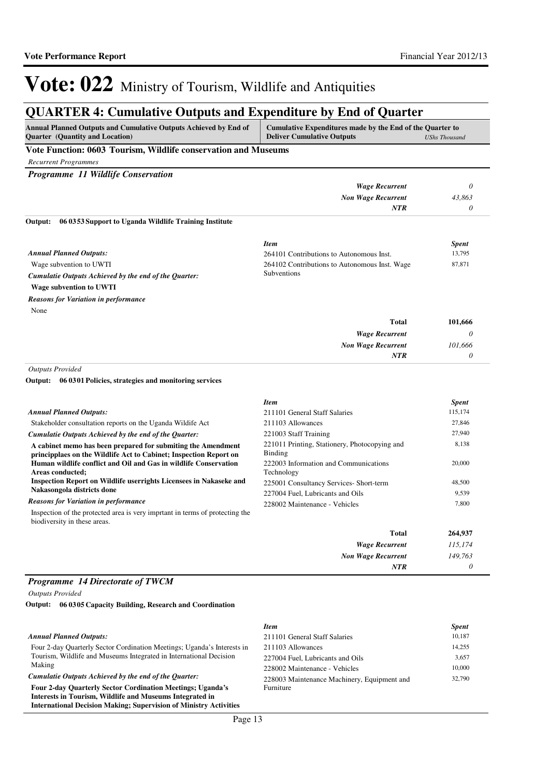## **QUARTER 4: Cumulative Outputs and Expenditure by End of Quarter**

| Annual Planned Outputs and Cumulative Outputs Achieved by End of<br><b>Quarter</b> (Quantity and Location)                        | Cumulative Expenditures made by the End of the Quarter to<br><b>Deliver Cumulative Outputs</b><br><b>UShs Thousand</b> |              |  |  |
|-----------------------------------------------------------------------------------------------------------------------------------|------------------------------------------------------------------------------------------------------------------------|--------------|--|--|
| Vote Function: 0603 Tourism, Wildlife conservation and Museums                                                                    |                                                                                                                        |              |  |  |
| <b>Recurrent Programmes</b>                                                                                                       |                                                                                                                        |              |  |  |
| Programme 11 Wildlife Conservation                                                                                                |                                                                                                                        |              |  |  |
|                                                                                                                                   | <b>Wage Recurrent</b>                                                                                                  | 0            |  |  |
|                                                                                                                                   | <b>Non Wage Recurrent</b>                                                                                              | 43,863       |  |  |
|                                                                                                                                   | NTR                                                                                                                    | 0            |  |  |
| 06 03 53 Support to Uganda Wildlife Training Institute<br>Output:                                                                 |                                                                                                                        |              |  |  |
|                                                                                                                                   | <b>Item</b>                                                                                                            | <b>Spent</b> |  |  |
| <b>Annual Planned Outputs:</b>                                                                                                    | 264101 Contributions to Autonomous Inst.                                                                               | 13,795       |  |  |
| Wage subvention to UWTI                                                                                                           | 264102 Contributions to Autonomous Inst. Wage                                                                          | 87,871       |  |  |
| Cumulatie Outputs Achieved by the end of the Quarter:                                                                             | Subventions                                                                                                            |              |  |  |
| Wage subvention to UWTI                                                                                                           |                                                                                                                        |              |  |  |
| <b>Reasons for Variation in performance</b>                                                                                       |                                                                                                                        |              |  |  |
| None                                                                                                                              |                                                                                                                        |              |  |  |
|                                                                                                                                   | <b>Total</b>                                                                                                           | 101,666      |  |  |
|                                                                                                                                   | <b>Wage Recurrent</b>                                                                                                  | 0            |  |  |
|                                                                                                                                   | <b>Non Wage Recurrent</b>                                                                                              | 101,666      |  |  |
|                                                                                                                                   | <b>NTR</b>                                                                                                             | 0            |  |  |
| <b>Outputs Provided</b>                                                                                                           |                                                                                                                        |              |  |  |
| Output: 06 03 01 Policies, strategies and monitoring services                                                                     |                                                                                                                        |              |  |  |
|                                                                                                                                   | <b>Item</b>                                                                                                            | <b>Spent</b> |  |  |
| <b>Annual Planned Outputs:</b>                                                                                                    | 211101 General Staff Salaries                                                                                          | 115,174      |  |  |
| Stakeholder consultation reports on the Uganda Wildife Act                                                                        | 211103 Allowances                                                                                                      | 27,846       |  |  |
| Cumulatie Outputs Achieved by the end of the Quarter:                                                                             | 221003 Staff Training                                                                                                  | 27,940       |  |  |
| A cabinet memo has been prepared for submiting the Amendment<br>principplaes on the Wildlife Act to Cabinet; Inspection Report on | 221011 Printing, Stationery, Photocopying and<br>Binding                                                               | 8,138        |  |  |
| Human wildlife conflict and Oil and Gas in wildlife Conservation<br>Areas conducted:                                              | 222003 Information and Communications<br>Technology                                                                    | 20,000       |  |  |

**Inspection Report on Wildlife userrights Licensees in Nakaseke and Nakasongola districts done**

### *Reasons for Variation in performance*

Inspection of the protected area is very imprtant in terms of protecting the biodiversity in these areas.

|                                               | .       |
|-----------------------------------------------|---------|
| 211101 General Staff Salaries                 | 115,174 |
| 211103 Allowances                             | 27,846  |
| 221003 Staff Training                         | 27,940  |
| 221011 Printing, Stationery, Photocopying and | 8,138   |
| <b>Binding</b>                                |         |
| 222003 Information and Communications         | 20,000  |
| Technology                                    |         |
| 225001 Consultancy Services- Short-term       | 48,500  |
| 227004 Fuel, Lubricants and Oils              | 9,539   |
| 228002 Maintenance - Vehicles                 | 7,800   |
|                                               |         |

| <b>Total</b>              | 264,937 |
|---------------------------|---------|
| <b>Wage Recurrent</b>     | 115,174 |
| <b>Non Wage Recurrent</b> | 149,763 |
| <b>NTR</b>                | 0       |

## *Programme 14 Directorate of TWCM*

*Outputs Provided*

**06 0305 Capacity Building, Research and Coordination Output:**

|                                                                                                                                                                                                           | Item                                        | <b>Spent</b> |
|-----------------------------------------------------------------------------------------------------------------------------------------------------------------------------------------------------------|---------------------------------------------|--------------|
| <b>Annual Planned Outputs:</b>                                                                                                                                                                            | 211101 General Staff Salaries               | 10.187       |
| Four 2-day Quarterly Sector Cordination Meetings; Uganda's Interests in                                                                                                                                   | 211103 Allowances                           | 14.255       |
| Tourism, Wildlife and Museums Integrated in International Decision                                                                                                                                        | 227004 Fuel, Lubricants and Oils            | 3.657        |
| Making                                                                                                                                                                                                    | 228002 Maintenance - Vehicles               | 10,000       |
| Cumulatie Outputs Achieved by the end of the Quarter:                                                                                                                                                     | 228003 Maintenance Machinery, Equipment and | 32,790       |
| <b>Four 2-day Quarterly Sector Cordination Meetings: Uganda's</b><br>Interests in Tourism, Wildlife and Museums Integrated in<br><b>International Decision Making: Supervision of Ministry Activities</b> | <b>Furniture</b>                            |              |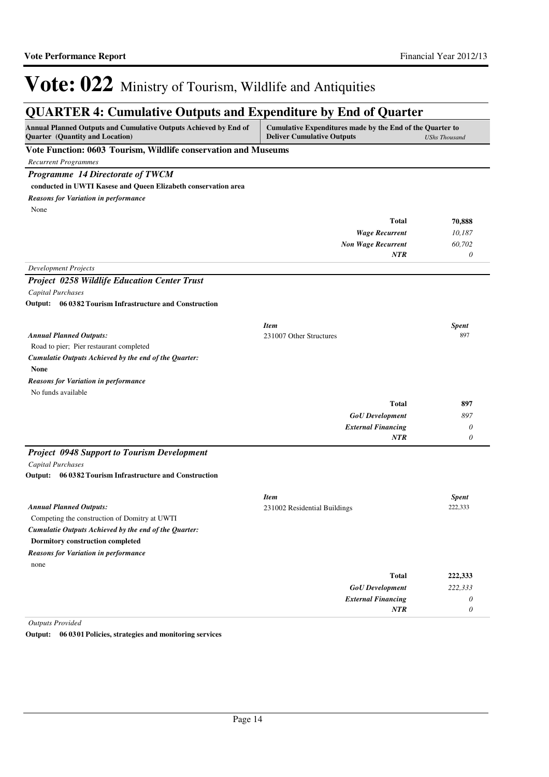## **QUARTER 4: Cumulative Outputs and Expenditure by End of Quarter**

| CHALLER IT CUMMUNITY OUTPUR MIN EXPERIENCE OF EMA OF<br>Yuurvu<br>Annual Planned Outputs and Cumulative Outputs Achieved by End of<br>Cumulative Expenditures made by the End of the Quarter to<br>Quarter (Quantity and Location)<br><b>Deliver Cumulative Outputs</b> |                              | <b>UShs Thousand</b> |
|-------------------------------------------------------------------------------------------------------------------------------------------------------------------------------------------------------------------------------------------------------------------------|------------------------------|----------------------|
| Vote Function: 0603 Tourism, Wildlife conservation and Museums                                                                                                                                                                                                          |                              |                      |
| <b>Recurrent Programmes</b>                                                                                                                                                                                                                                             |                              |                      |
| Programme 14 Directorate of TWCM                                                                                                                                                                                                                                        |                              |                      |
| conducted in UWTI Kasese and Queen Elizabeth conservation area                                                                                                                                                                                                          |                              |                      |
| <b>Reasons for Variation in performance</b>                                                                                                                                                                                                                             |                              |                      |
| None                                                                                                                                                                                                                                                                    |                              |                      |
|                                                                                                                                                                                                                                                                         | <b>Total</b>                 | 70,888               |
|                                                                                                                                                                                                                                                                         | <b>Wage Recurrent</b>        | 10,187               |
|                                                                                                                                                                                                                                                                         | <b>Non Wage Recurrent</b>    | 60,702               |
|                                                                                                                                                                                                                                                                         | <b>NTR</b>                   | 0                    |
| <b>Development Projects</b>                                                                                                                                                                                                                                             |                              |                      |
| <b>Project 0258 Wildlife Education Center Trust</b>                                                                                                                                                                                                                     |                              |                      |
| Capital Purchases                                                                                                                                                                                                                                                       |                              |                      |
| Output: 06 0382 Tourism Infrastructure and Construction                                                                                                                                                                                                                 |                              |                      |
|                                                                                                                                                                                                                                                                         | <b>Item</b>                  | <b>Spent</b>         |
| <b>Annual Planned Outputs:</b>                                                                                                                                                                                                                                          | 231007 Other Structures      | 897                  |
| Road to pier; Pier restaurant completed                                                                                                                                                                                                                                 |                              |                      |
| Cumulatie Outputs Achieved by the end of the Quarter:                                                                                                                                                                                                                   |                              |                      |
| None                                                                                                                                                                                                                                                                    |                              |                      |
| <b>Reasons for Variation in performance</b>                                                                                                                                                                                                                             |                              |                      |
| No funds available                                                                                                                                                                                                                                                      |                              |                      |
|                                                                                                                                                                                                                                                                         | <b>Total</b>                 | 897                  |
|                                                                                                                                                                                                                                                                         | <b>GoU</b> Development       | 897                  |
|                                                                                                                                                                                                                                                                         | <b>External Financing</b>    | $\theta$             |
|                                                                                                                                                                                                                                                                         | NTR                          | $\theta$             |
| <b>Project 0948 Support to Tourism Development</b>                                                                                                                                                                                                                      |                              |                      |
| Capital Purchases                                                                                                                                                                                                                                                       |                              |                      |
| Output: 06 0382 Tourism Infrastructure and Construction                                                                                                                                                                                                                 |                              |                      |
|                                                                                                                                                                                                                                                                         | <b>Item</b>                  | <b>Spent</b>         |
| <b>Annual Planned Outputs:</b>                                                                                                                                                                                                                                          | 231002 Residential Buildings | 222,333              |
| Competing the construction of Domitry at UWTI                                                                                                                                                                                                                           |                              |                      |
| Cumulatie Outputs Achieved by the end of the Quarter:                                                                                                                                                                                                                   |                              |                      |
| <b>Dormitory construction completed</b>                                                                                                                                                                                                                                 |                              |                      |
| <b>Reasons for Variation in performance</b>                                                                                                                                                                                                                             |                              |                      |
| none                                                                                                                                                                                                                                                                    |                              |                      |
|                                                                                                                                                                                                                                                                         | <b>Total</b>                 | 222,333              |
|                                                                                                                                                                                                                                                                         | <b>GoU</b> Development       | 222,333              |
|                                                                                                                                                                                                                                                                         | <b>External Financing</b>    | 0                    |
|                                                                                                                                                                                                                                                                         | NTR                          | 0                    |

*Outputs Provided*

**Output: 06 0301 Policies, strategies and monitoring services**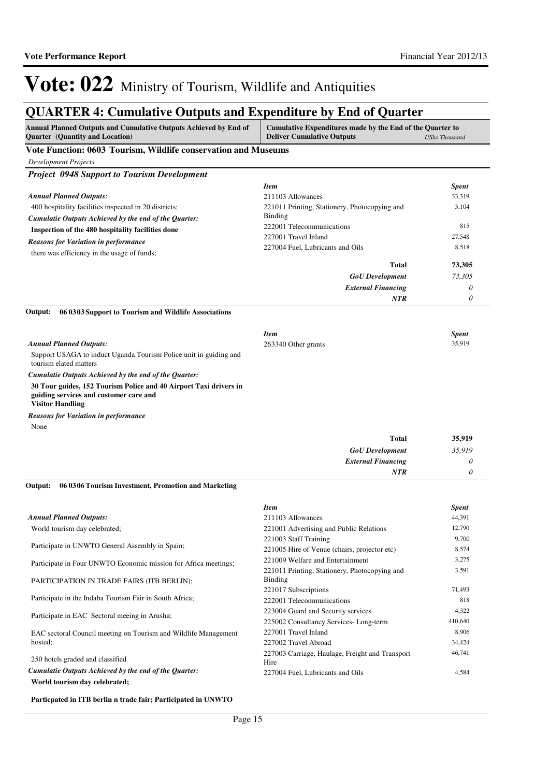## **QUARTER 4: Cumulative Outputs and Expenditure by End of Quarter**

| Annual Planned Outputs and Cumulative Outputs Achieved by End of<br><b>Quarter</b> (Quantity and Location)                             | Cumulative Expenditures made by the End of the Quarter to<br><b>Deliver Cumulative Outputs</b> | <b>UShs Thousand</b> |
|----------------------------------------------------------------------------------------------------------------------------------------|------------------------------------------------------------------------------------------------|----------------------|
| Vote Function: 0603 Tourism, Wildlife conservation and Museums                                                                         |                                                                                                |                      |
| <b>Development Projects</b>                                                                                                            |                                                                                                |                      |
| <b>Project 0948 Support to Tourism Development</b>                                                                                     |                                                                                                |                      |
|                                                                                                                                        | Item                                                                                           | <b>Spent</b>         |
| <b>Annual Planned Outputs:</b>                                                                                                         | 211103 Allowances                                                                              | 33,319               |
| 400 hospitality facilities inspected in 20 districts;                                                                                  | 221011 Printing, Stationery, Photocopying and                                                  | 3,104                |
| Cumulatie Outputs Achieved by the end of the Quarter:                                                                                  | Binding                                                                                        |                      |
| Inspection of the 480 hospitality facilities done                                                                                      | 222001 Telecommunications                                                                      | 815                  |
| <b>Reasons for Variation in performance</b>                                                                                            | 227001 Travel Inland                                                                           | 27,548               |
| there was efficiency in the usage of funds;                                                                                            | 227004 Fuel, Lubricants and Oils                                                               | 8,518                |
|                                                                                                                                        | Total                                                                                          |                      |
|                                                                                                                                        |                                                                                                | 73,305               |
|                                                                                                                                        | <b>GoU</b> Development                                                                         | 73,305               |
|                                                                                                                                        | <b>External Financing</b>                                                                      | 0                    |
|                                                                                                                                        | <b>NTR</b>                                                                                     | 0                    |
| Output:<br>06 03 03 Support to Tourism and Wildlife Associations                                                                       |                                                                                                |                      |
|                                                                                                                                        | <b>Item</b>                                                                                    | <b>Spent</b>         |
| <b>Annual Planned Outputs:</b>                                                                                                         | 263340 Other grants                                                                            | 35,919               |
| Support USAGA to induct Uganda Tourism Police unit in guiding and<br>tourism elated matters                                            |                                                                                                |                      |
| Cumulatie Outputs Achieved by the end of the Quarter:                                                                                  |                                                                                                |                      |
| 30 Tour guides, 152 Tourism Police and 40 Airport Taxi drivers in<br>guiding services and customer care and<br><b>Visitor Handling</b> |                                                                                                |                      |
| <b>Reasons for Variation in performance</b>                                                                                            |                                                                                                |                      |
| None                                                                                                                                   |                                                                                                |                      |
|                                                                                                                                        | Total                                                                                          | 35,919               |
|                                                                                                                                        | <b>GoU</b> Development                                                                         | 35,919               |
|                                                                                                                                        | <b>External Financing</b>                                                                      | 0                    |
|                                                                                                                                        | <b>NTR</b>                                                                                     | 0                    |
| 06 03 06 Tourism Investment, Promotion and Marketing<br>Output:                                                                        |                                                                                                |                      |
|                                                                                                                                        | <b>Item</b>                                                                                    | <b>Spent</b>         |
| <b>Annual Planned Outputs:</b>                                                                                                         | 211103 Allowances                                                                              | 44,391               |
| World tourism day celebrated;                                                                                                          | 221001 Advertising and Public Relations                                                        | 12,790               |
|                                                                                                                                        | 221003 Staff Training                                                                          | 9,700                |
| Participate in UNWTO General Assembly in Spain;                                                                                        | 221005 Hire of Venue (chairs, projector etc)                                                   | 8,574                |
|                                                                                                                                        | 221009 Welfare and Entertainment                                                               | 3,275                |
| Participate in Four UNWTO Economic mission for Africa meetings;                                                                        | 221011 Printing, Stationery, Photocopying and                                                  | 3,591                |
| PARTICIPATION IN TRADE FAIRS (ITB BERLIN);                                                                                             | Binding                                                                                        |                      |
|                                                                                                                                        | 221017 Subscriptions                                                                           | 71,493               |
| Participate in the Indaba Tourism Fair in South Africa;                                                                                | 222001 Telecommunications                                                                      | 818                  |
|                                                                                                                                        | 223004 Guard and Security services                                                             | 4,322                |

Participate in EAC Sectoral meeing in Arusha;

EAC sectoral Council meeting on Tourism and Wildlife Management hosted;

250 hotels graded and classified *Cumulatie Outputs Achieved by the end of the Quarter:*

**World tourism day celebrated;**

**Particpated in ITB berlin n trade fair; Participated in UNWTO** 

Hire

225002 Consultancy Services- Long-term 410,640 227001 Travel Inland 8,906 227002 Travel Abroad 34,424

227004 Fuel, Lubricants and Oils 4,584

46,741

227003 Carriage, Haulage, Freight and Transport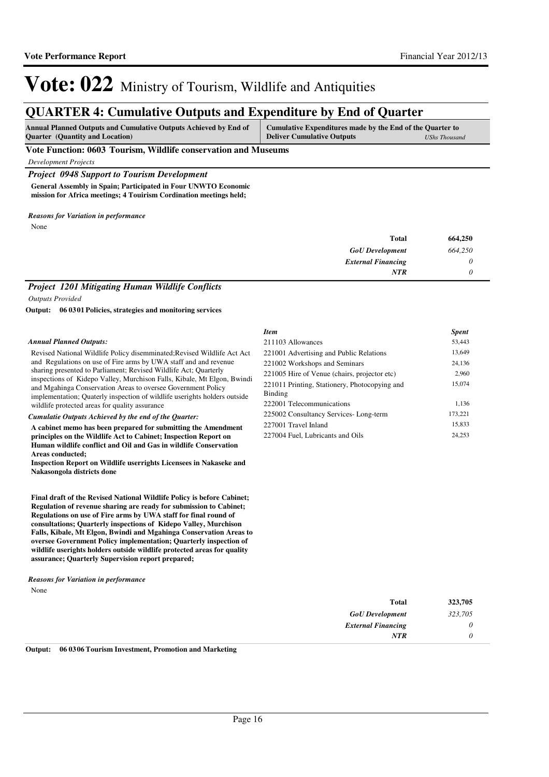## **QUARTER 4: Cumulative Outputs and Expenditure by End of Quarter**

| <b>Annual Planned Outputs and Cumulative Outputs Achieved by End of</b> | Cumulative Expenditures made by the End of the Quarter to |                      |
|-------------------------------------------------------------------------|-----------------------------------------------------------|----------------------|
| <b>Quarter</b> (Quantity and Location)                                  | <b>Deliver Cumulative Outputs</b>                         | <b>UShs Thousand</b> |

### **Vote Function: 0603 Tourism, Wildlife conservation and Museums**

*Development Projects*

*Project 0948 Support to Tourism Development* **General Assembly in Spain; Participated in Four UNWTO Economic mission for Africa meetings; 4 Touirism Cordination meetings held;**

*Reasons for Variation in performance*

None

| <b>Total</b>              | 664,250 |
|---------------------------|---------|
| <b>GoU</b> Development    | 664,250 |
| <b>External Financing</b> | 0       |
| <b>NTR</b>                |         |

## *Project 1201 Mitigating Human Wildlife Conflicts*

*Outputs Provided*

**06 0301 Policies, strategies and monitoring services Output:**

### *Annual Planned Outputs:*

Revised National Wildlife Policy disemminated;Revised Wildlife Act Act and Regulations on use of Fire arms by UWA staff and and revenue sharing presented to Parliament; Revised Wildlife Act; Quarterly inspections of Kidepo Valley, Murchison Falls, Kibale, Mt Elgon, Bwindi and Mgahinga Conservation Areas to oversee Government Policy implementation; Quaterly inspection of wildlife userights holders outside wildlife protected areas for quality assurance

### *Cumulatie Outputs Achieved by the end of the Quarter:*

**A cabinet memo has been prepared for submitting the Amendment principles on the Wildlife Act to Cabinet; Inspection Report on Human wildlife conflict and Oil and Gas in wildlife Conservation Areas conducted;** 

**Inspection Report on Wildlife userrights Licensees in Nakaseke and Nakasongola districts done** 

**Final draft of the Revised National Wildlife Policy is before Cabinet; Regulation of revenue sharing are ready for submission to Cabinet; Regulations on use of Fire arms by UWA staff for final round of consultations; Quarterly inspections of Kidepo Valley, Murchison Falls, Kibale, Mt Elgon, Bwindi and Mgahinga Conservation Areas to oversee Government Policy implementation; Quarterly inspection of wildlife userights holders outside wildlife protected areas for quality assurance; Quarterly Supervision report prepared;**

## *Reasons for Variation in performance*

None

| <b>Item</b>                                              | <b>Spent</b> |
|----------------------------------------------------------|--------------|
| 211103 Allowances                                        | 53,443       |
| 221001 Advertising and Public Relations                  | 13,649       |
| 221002 Workshops and Seminars                            | 24,136       |
| 221005 Hire of Venue (chairs, projector etc)             | 2,960        |
| 221011 Printing, Stationery, Photocopying and<br>Binding | 15,074       |
| 222001 Telecommunications                                | 1.136        |
| 225002 Consultancy Services-Long-term                    | 173,221      |
| 227001 Travel Inland                                     | 15.833       |
| 227004 Fuel, Lubricants and Oils                         | 24.253       |

| <b>Total</b>              | 323,705  |
|---------------------------|----------|
| <b>GoU</b> Development    | 323,705  |
| <b>External Financing</b> | $\theta$ |
| <b>NTR</b>                |          |

**Output: 06 0306 Tourism Investment, Promotion and Marketing**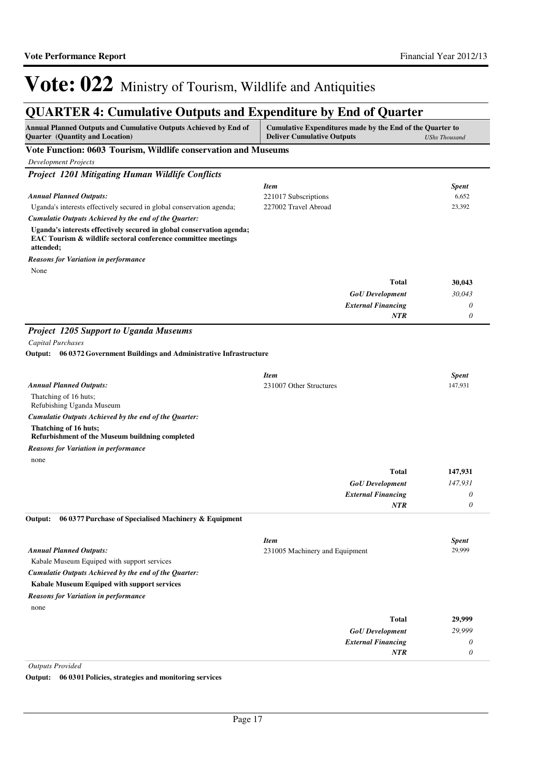## **QUARTER 4: Cumulative Outputs and Expenditure by End of Quarter**

| <b>Annual Planned Outputs and Cumulative Outputs Achieved by End of</b><br><b>Quarter</b> (Quantity and Location)                                   | Cumulative Expenditures made by the End of the Quarter to<br><b>Deliver Cumulative Outputs</b><br><b>UShs Thousand</b> |                       |
|-----------------------------------------------------------------------------------------------------------------------------------------------------|------------------------------------------------------------------------------------------------------------------------|-----------------------|
| Vote Function: 0603 Tourism, Wildlife conservation and Museums                                                                                      |                                                                                                                        |                       |
| <b>Development Projects</b>                                                                                                                         |                                                                                                                        |                       |
| <b>Project 1201 Mitigating Human Wildlife Conflicts</b>                                                                                             |                                                                                                                        |                       |
|                                                                                                                                                     | <b>Item</b>                                                                                                            | <b>Spent</b>          |
| <b>Annual Planned Outputs:</b>                                                                                                                      | 221017 Subscriptions                                                                                                   | 6,652                 |
| Uganda's interests effectively secured in global conservation agenda;                                                                               | 227002 Travel Abroad                                                                                                   | 23,392                |
| Cumulatie Outputs Achieved by the end of the Quarter:                                                                                               |                                                                                                                        |                       |
| Uganda's interests effectively secured in global conservation agenda;<br>EAC Tourism & wildlife sectoral conference committee meetings<br>attended; |                                                                                                                        |                       |
| <b>Reasons for Variation in performance</b>                                                                                                         |                                                                                                                        |                       |
| None                                                                                                                                                |                                                                                                                        |                       |
|                                                                                                                                                     | <b>Total</b>                                                                                                           | 30,043                |
|                                                                                                                                                     | <b>GoU</b> Development                                                                                                 | 30,043                |
|                                                                                                                                                     | <b>External Financing</b>                                                                                              | $\theta$              |
|                                                                                                                                                     | <b>NTR</b>                                                                                                             | $\boldsymbol{\theta}$ |
| <b>Project 1205 Support to Uganda Museums</b>                                                                                                       |                                                                                                                        |                       |
| Capital Purchases                                                                                                                                   |                                                                                                                        |                       |
| Output: 06 0372 Government Buildings and Administrative Infrastructure                                                                              |                                                                                                                        |                       |
|                                                                                                                                                     |                                                                                                                        |                       |
|                                                                                                                                                     | <b>Item</b>                                                                                                            | <b>Spent</b>          |
| <b>Annual Planned Outputs:</b>                                                                                                                      | 231007 Other Structures                                                                                                | 147,931               |
| Thatching of 16 huts;<br>Refubishing Uganda Museum                                                                                                  |                                                                                                                        |                       |
| Cumulatie Outputs Achieved by the end of the Quarter:                                                                                               |                                                                                                                        |                       |
| Thatching of 16 huts;<br>Refurbishment of the Museum buildning completed                                                                            |                                                                                                                        |                       |
| <b>Reasons for Variation in performance</b>                                                                                                         |                                                                                                                        |                       |
| none                                                                                                                                                |                                                                                                                        |                       |
|                                                                                                                                                     | <b>Total</b>                                                                                                           | 147,931               |
|                                                                                                                                                     | <b>GoU</b> Development                                                                                                 | 147,931               |
|                                                                                                                                                     | <b>External Financing</b>                                                                                              | $\theta$              |
|                                                                                                                                                     | <b>NTR</b>                                                                                                             | $\theta$              |
| Output:<br>06 0377 Purchase of Specialised Machinery & Equipment                                                                                    |                                                                                                                        |                       |
|                                                                                                                                                     | <b>Item</b>                                                                                                            | <b>Spent</b>          |
| <b>Annual Planned Outputs:</b>                                                                                                                      | 231005 Machinery and Equipment                                                                                         | 29,999                |
| Kabale Museum Equiped with support services                                                                                                         |                                                                                                                        |                       |
| Cumulatie Outputs Achieved by the end of the Quarter:                                                                                               |                                                                                                                        |                       |
| Kabale Museum Equiped with support services                                                                                                         |                                                                                                                        |                       |
| <b>Reasons for Variation in performance</b>                                                                                                         |                                                                                                                        |                       |
| none                                                                                                                                                |                                                                                                                        |                       |
|                                                                                                                                                     | <b>Total</b>                                                                                                           | 29,999                |
|                                                                                                                                                     | <b>GoU</b> Development                                                                                                 | 29,999                |
|                                                                                                                                                     | <b>External Financing</b>                                                                                              | 0                     |
|                                                                                                                                                     | NTR                                                                                                                    | $\theta$              |

*Outputs Provided*

**Output: 06 0301 Policies, strategies and monitoring services**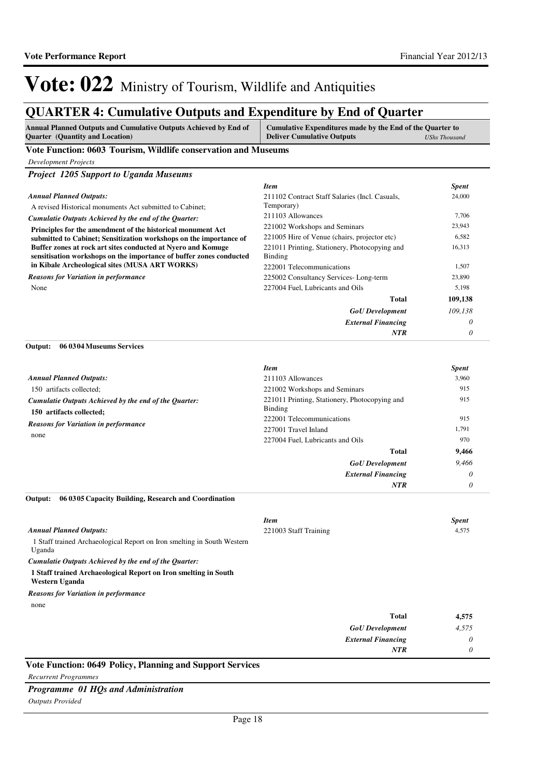## **QUARTER 4: Cumulative Outputs and Expenditure by End of Quarter**

| <b>Annual Planned Outputs and Cumulative Outputs Achieved by End of</b><br>Quarter (Quantity and Location)                         | Cumulative Expenditures made by the End of the Quarter to<br><b>Deliver Cumulative Outputs</b> | <b>UShs Thousand</b> |
|------------------------------------------------------------------------------------------------------------------------------------|------------------------------------------------------------------------------------------------|----------------------|
| Vote Function: 0603 Tourism, Wildlife conservation and Museums                                                                     |                                                                                                |                      |
| <b>Development Projects</b>                                                                                                        |                                                                                                |                      |
| <b>Project 1205 Support to Uganda Museums</b>                                                                                      |                                                                                                |                      |
|                                                                                                                                    | <b>Item</b>                                                                                    | <b>Spent</b>         |
| <b>Annual Planned Outputs:</b>                                                                                                     | 211102 Contract Staff Salaries (Incl. Casuals,                                                 | 24,000               |
| A revised Historical monuments Act submitted to Cabinet;                                                                           | Temporary)                                                                                     |                      |
| Cumulatie Outputs Achieved by the end of the Quarter:                                                                              | 211103 Allowances                                                                              | 7,706                |
| Principles for the amendment of the historical monument Act                                                                        | 221002 Workshops and Seminars                                                                  | 23,943<br>6,582      |
| submitted to Cabinet; Sensitization workshops on the importance of<br>Buffer zones at rock art sites conducted at Nyero and Komuge | 221005 Hire of Venue (chairs, projector etc)<br>221011 Printing, Stationery, Photocopying and  | 16,313               |
| sensitisation workshops on the importance of buffer zones conducted                                                                | <b>Binding</b>                                                                                 |                      |
| in Kibale Archeological sites (MUSA ART WORKS)                                                                                     | 222001 Telecommunications                                                                      | 1,507                |
| <b>Reasons for Variation in performance</b>                                                                                        | 225002 Consultancy Services-Long-term                                                          | 23,890               |
| None                                                                                                                               | 227004 Fuel, Lubricants and Oils                                                               | 5,198                |
|                                                                                                                                    | <b>Total</b>                                                                                   | 109,138              |
|                                                                                                                                    | <b>GoU</b> Development                                                                         | 109,138              |
|                                                                                                                                    | <b>External Financing</b>                                                                      | 0                    |
|                                                                                                                                    | <b>NTR</b>                                                                                     | 0                    |
| Output:<br>06 03 04 Museums Services                                                                                               |                                                                                                |                      |
|                                                                                                                                    | <b>Item</b>                                                                                    | <b>Spent</b>         |
| <b>Annual Planned Outputs:</b>                                                                                                     | 211103 Allowances                                                                              | 3,960                |
| 150 artifacts collected;                                                                                                           | 221002 Workshops and Seminars                                                                  | 915                  |
| Cumulatie Outputs Achieved by the end of the Quarter:                                                                              | 221011 Printing, Stationery, Photocopying and                                                  | 915                  |
| 150 artifacts collected;                                                                                                           | <b>Binding</b><br>222001 Telecommunications                                                    | 915                  |
| <b>Reasons for Variation in performance</b>                                                                                        | 227001 Travel Inland                                                                           | 1,791                |
| none                                                                                                                               | 227004 Fuel, Lubricants and Oils                                                               | 970                  |
|                                                                                                                                    | <b>Total</b>                                                                                   | 9,466                |
|                                                                                                                                    | <b>GoU</b> Development                                                                         | 9,466                |
|                                                                                                                                    | <b>External Financing</b>                                                                      | 0                    |
|                                                                                                                                    | NTR                                                                                            | 0                    |
| 06 03 05 Capacity Building, Research and Coordination<br>Output:                                                                   |                                                                                                |                      |
|                                                                                                                                    | <b>Item</b>                                                                                    | <b>Spent</b>         |
| <b>Annual Planned Outputs:</b>                                                                                                     | 221003 Staff Training                                                                          | 4,575                |
| 1 Staff trained Archaeological Report on Iron smelting in South Western<br>Uganda                                                  |                                                                                                |                      |
| Cumulatie Outputs Achieved by the end of the Quarter:                                                                              |                                                                                                |                      |
| 1 Staff trained Archaeological Report on Iron smelting in South<br>Western Uganda                                                  |                                                                                                |                      |
| <b>Reasons for Variation in performance</b>                                                                                        |                                                                                                |                      |
| none                                                                                                                               |                                                                                                |                      |
|                                                                                                                                    | <b>Total</b>                                                                                   | 4,575                |
|                                                                                                                                    | <b>GoU</b> Development                                                                         | 4,575                |
|                                                                                                                                    | <b>External Financing</b>                                                                      | 0                    |
|                                                                                                                                    | <b>NTR</b>                                                                                     | 0                    |

**Vote Function: 0649 Policy, Planning and Support Services**

### *Recurrent Programmes*

*Programme 01 HQs and Administration*

*Outputs Provided*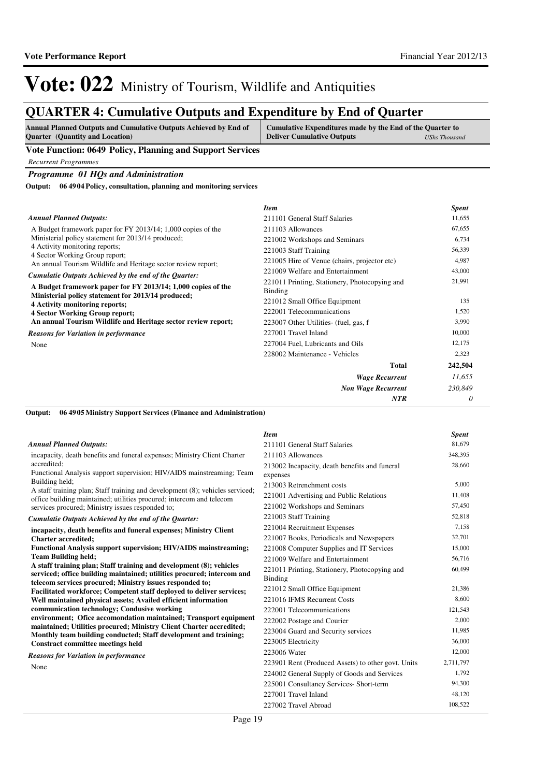28,660

60,499

# Vote: 022 Ministry of Tourism, Wildlife and Antiquities

## **QUARTER 4: Cumulative Outputs and Expenditure by End of Quarter**

| <b>Annual Planned Outputs and Cumulative Outputs Achieved by End of</b> | Cumulative Expenditures made by the End of the Quarter to |               |
|-------------------------------------------------------------------------|-----------------------------------------------------------|---------------|
| <b>Ouarter</b> (Quantity and Location)                                  | <b>Deliver Cumulative Outputs</b>                         | UShs Thousand |

### **Vote Function: 0649 Policy, Planning and Support Services**

*Recurrent Programmes*

### *Programme 01 HQs and Administration*

**06 4904 Policy, consultation, planning and monitoring services Output:**

|                                                                                             | <b>Item</b>                                                     | <b>Spent</b> |
|---------------------------------------------------------------------------------------------|-----------------------------------------------------------------|--------------|
| <b>Annual Planned Outputs:</b>                                                              | 211101 General Staff Salaries                                   | 11,655       |
| A Budget framework paper for FY 2013/14; 1,000 copies of the                                | 211103 Allowances                                               | 67,655       |
| Ministerial policy statement for 2013/14 produced;                                          | 221002 Workshops and Seminars                                   | 6,734        |
| 4 Activity monitoring reports;<br>4 Sector Working Group report;                            | 221003 Staff Training                                           | 56,339       |
| An annual Tourism Wildlife and Heritage sector review report;                               | 221005 Hire of Venue (chairs, projector etc)                    | 4,987        |
| Cumulatie Outputs Achieved by the end of the Quarter:                                       | 221009 Welfare and Entertainment                                | 43,000       |
| A Budget framework paper for FY 2013/14; 1,000 copies of the                                | 221011 Printing, Stationery, Photocopying and<br><b>Binding</b> | 21,991       |
| Ministerial policy statement for 2013/14 produced;<br><b>4 Activity monitoring reports;</b> | 221012 Small Office Equipment                                   | 135          |
| <b>4 Sector Working Group report;</b>                                                       | 222001 Telecommunications                                       | 1,520        |
| An annual Tourism Wildlife and Heritage sector review report;                               | 223007 Other Utilities- (fuel, gas, f                           | 3,990        |
| <b>Reasons for Variation in performance</b>                                                 | 227001 Travel Inland                                            | 10,000       |
| None                                                                                        | 227004 Fuel, Lubricants and Oils                                | 12,175       |
|                                                                                             | 228002 Maintenance - Vehicles                                   | 2,323        |
|                                                                                             | Total                                                           | 242,504      |
|                                                                                             | <b>Wage Recurrent</b>                                           | 11,655       |
|                                                                                             | <b>Non Wage Recurrent</b>                                       | 230,849      |
|                                                                                             | <b>NTR</b>                                                      | 0            |

*Item Spent*

**06 4905 Ministry Support Services (Finance and Administration) Output:**

#### incapacity, death benefits and funeral expenses; Ministry Client Charter accredited; Functional Analysis support supervision; HIV/AIDS mainstreaming; Team Building held; A staff training plan; Staff training and development (8); vehicles serviced; office building maintained; utilities procured; intercom and telecom services procured; Ministry issues responded to; **incapacity, death benefits and funeral expenses; Ministry Client Charter accredited; Functional Analysis support supervision; HIV/AIDS mainstreaming; Team Building held; A staff training plan; Staff training and development (8); vehicles serviced; office building maintained; utilities procured; intercom and telecom services procured; Ministry issues responded to; Facilitated workforce; Competent staff deployed to deliver services; Well maintained physical assets; Availed efficient information communication technology; Condusive working environment; Ofice accomondation maintained; Transport equipment maintained; Utilities procured; Ministry Client Charter accredited; Monthly team building conducted; Staff development and training; Constract committee meetings held** *Cumulatie Outputs Achieved by the end of the Quarter: Annual Planned Outputs:* None *Reasons for Variation in performance* 211101 General Staff Salaries 81,679 211103 Allowances 348,395 213002 Incapacity, death benefits and funeral expenses 213003 Retrenchment costs 5,000 221001 Advertising and Public Relations 11,408 221002 Workshops and Seminars 57,450 221003 Staff Training 52,818 221004 Recruitment Expenses 7,158 221007 Books, Periodicals and Newspapers 32,701 221008 Computer Supplies and IT Services 15,000 221009 Welfare and Entertainment 56,716 221011 Printing, Stationery, Photocopying and Binding 221012 Small Office Equipment 21,386 221016 IFMS Recurrent Costs 8,600 222001 Telecommunications 121,543 222002 Postage and Courier 2,000 223004 Guard and Security services 11,985 223005 Electricity 36,000 223006 Water 12,000 223901 Rent (Produced Assets) to other govt. Units 2,711,797 224002 General Supply of Goods and Services 1,792 225001 Consultancy Services- Short-term 94,300 227001 Travel Inland 48,120 227002 Travel Abroad 108,522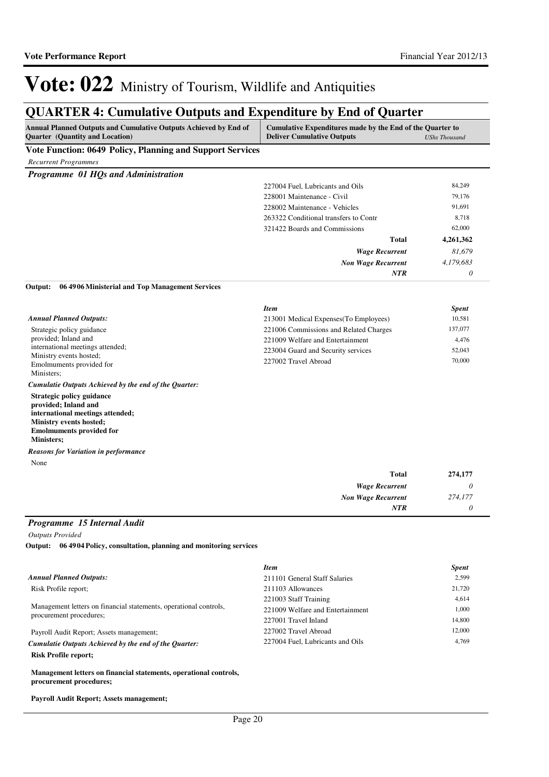## **QUARTER 4: Cumulative Outputs and Expenditure by End of Quarter**

| Annual Planned Outputs and Cumulative Outputs Achieved by End of<br>Quarter (Quantity and Location)                                                                      | Cumulative Expenditures made by the End of the Quarter to<br><b>Deliver Cumulative Outputs</b><br><b>UShs Thousand</b> |              |
|--------------------------------------------------------------------------------------------------------------------------------------------------------------------------|------------------------------------------------------------------------------------------------------------------------|--------------|
| Vote Function: 0649 Policy, Planning and Support Services                                                                                                                |                                                                                                                        |              |
| <b>Recurrent Programmes</b>                                                                                                                                              |                                                                                                                        |              |
| Programme 01 HQs and Administration                                                                                                                                      |                                                                                                                        |              |
|                                                                                                                                                                          | 227004 Fuel, Lubricants and Oils                                                                                       | 84,249       |
|                                                                                                                                                                          | 228001 Maintenance - Civil                                                                                             | 79,176       |
|                                                                                                                                                                          | 228002 Maintenance - Vehicles                                                                                          | 91,691       |
|                                                                                                                                                                          | 263322 Conditional transfers to Contr                                                                                  | 8,718        |
|                                                                                                                                                                          | 321422 Boards and Commissions                                                                                          | 62,000       |
|                                                                                                                                                                          | <b>Total</b>                                                                                                           | 4,261,362    |
|                                                                                                                                                                          | <b>Wage Recurrent</b>                                                                                                  | 81,679       |
|                                                                                                                                                                          | <b>Non Wage Recurrent</b>                                                                                              | 4,179,683    |
|                                                                                                                                                                          | NTR                                                                                                                    | 0            |
| 06 49 06 Ministerial and Top Management Services<br>Output:                                                                                                              |                                                                                                                        |              |
|                                                                                                                                                                          | <b>Item</b>                                                                                                            | <b>Spent</b> |
| <b>Annual Planned Outputs:</b>                                                                                                                                           | 213001 Medical Expenses (To Employees)                                                                                 | 10,581       |
| Strategic policy guidance                                                                                                                                                | 221006 Commissions and Related Charges                                                                                 | 137,077      |
| provided; Inland and                                                                                                                                                     | 221009 Welfare and Entertainment                                                                                       | 4,476        |
| international meetings attended;                                                                                                                                         | 223004 Guard and Security services                                                                                     | 52,043       |
| Ministry events hosted;<br>Emolmuments provided for                                                                                                                      | 227002 Travel Abroad                                                                                                   | 70,000       |
| Ministers;                                                                                                                                                               |                                                                                                                        |              |
| Cumulatie Outputs Achieved by the end of the Quarter:                                                                                                                    |                                                                                                                        |              |
| Strategic policy guidance<br>provided; Inland and<br>international meetings attended;<br>Ministry events hosted;<br><b>Emolmuments provided for</b><br><b>Ministers;</b> |                                                                                                                        |              |
| <b>Reasons for Variation in performance</b>                                                                                                                              |                                                                                                                        |              |
| None                                                                                                                                                                     |                                                                                                                        |              |
|                                                                                                                                                                          | <b>Total</b>                                                                                                           | 274,177      |
|                                                                                                                                                                          | <b>Wage Recurrent</b>                                                                                                  | 0            |
|                                                                                                                                                                          | <b>Non Wage Recurrent</b>                                                                                              | 274,177      |
|                                                                                                                                                                          | NTR                                                                                                                    | 0            |
| Programme 15 Internal Audit                                                                                                                                              |                                                                                                                        |              |
| <b>Outputs Provided</b>                                                                                                                                                  |                                                                                                                        |              |
| Output: 06 49 04 Policy, consultation, planning and monitoring services                                                                                                  |                                                                                                                        |              |
|                                                                                                                                                                          | <b>Item</b>                                                                                                            | <b>Spent</b> |
| <b>Annual Planned Outputs:</b>                                                                                                                                           | 211101 General Staff Salaries                                                                                          | 2,599        |
| Risk Profile report;                                                                                                                                                     | 211103 Allowances                                                                                                      | 21,720       |
|                                                                                                                                                                          | 221003 Staff Training                                                                                                  | 4,614        |
| Management letters on financial statements, operational controls,                                                                                                        | 221009 Welfare and Entertainment                                                                                       | 1,000        |
| procurement procedures;                                                                                                                                                  | 227001 Travel Inland                                                                                                   | 14,800       |
| Payroll Audit Report; Assets management;                                                                                                                                 | 227002 Travel Abroad                                                                                                   | 12,000       |
| Cumulatie Outputs Achieved by the end of the Quarter:                                                                                                                    | 227004 Fuel, Lubricants and Oils                                                                                       | 4,769        |
| <b>Risk Profile report;</b>                                                                                                                                              |                                                                                                                        |              |

**Management letters on financial statements, operational controls, procurement procedures;**

**Payroll Audit Report; Assets management;**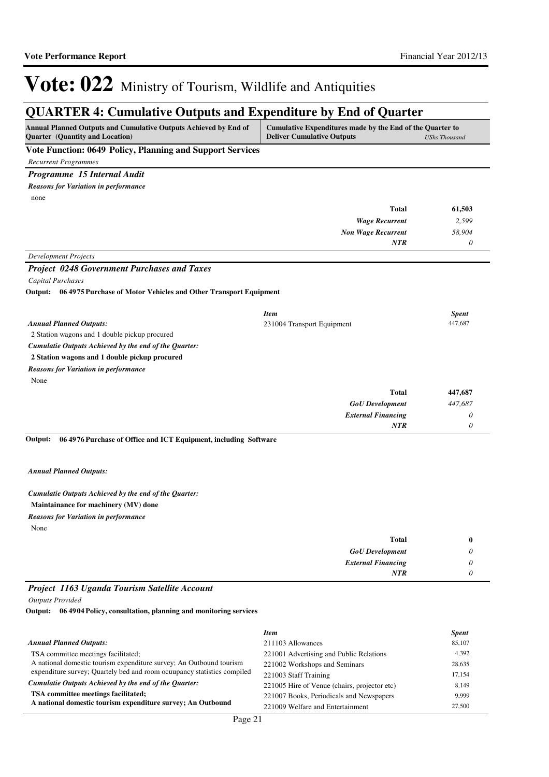## **QUARTER 4: Cumulative Outputs and Expenditure by End of Quarter**

| germaan 'n camaanve outputs and aspenditure by and of guarter                                       |                                                                                                                        |              |
|-----------------------------------------------------------------------------------------------------|------------------------------------------------------------------------------------------------------------------------|--------------|
| Annual Planned Outputs and Cumulative Outputs Achieved by End of<br>Quarter (Quantity and Location) | Cumulative Expenditures made by the End of the Quarter to<br><b>Deliver Cumulative Outputs</b><br><b>UShs Thousand</b> |              |
| Vote Function: 0649 Policy, Planning and Support Services                                           |                                                                                                                        |              |
| <b>Recurrent Programmes</b>                                                                         |                                                                                                                        |              |
| Programme 15 Internal Audit                                                                         |                                                                                                                        |              |
| <b>Reasons for Variation in performance</b>                                                         |                                                                                                                        |              |
| none                                                                                                |                                                                                                                        |              |
|                                                                                                     | <b>Total</b>                                                                                                           | 61,503       |
|                                                                                                     | <b>Wage Recurrent</b>                                                                                                  | 2,599        |
|                                                                                                     | <b>Non Wage Recurrent</b>                                                                                              | 58,904       |
|                                                                                                     | <b>NTR</b>                                                                                                             | 0            |
| <b>Development Projects</b>                                                                         |                                                                                                                        |              |
| <b>Project 0248 Government Purchases and Taxes</b>                                                  |                                                                                                                        |              |
| Capital Purchases                                                                                   |                                                                                                                        |              |
| Output: 06 4975 Purchase of Motor Vehicles and Other Transport Equipment                            |                                                                                                                        |              |
|                                                                                                     | <b>Item</b>                                                                                                            | <b>Spent</b> |
| <b>Annual Planned Outputs:</b>                                                                      | 231004 Transport Equipment                                                                                             | 447,687      |
| 2 Station wagons and 1 double pickup procured                                                       |                                                                                                                        |              |
| Cumulatie Outputs Achieved by the end of the Quarter:                                               |                                                                                                                        |              |
| 2 Station wagons and 1 double pickup procured                                                       |                                                                                                                        |              |
| <b>Reasons for Variation in performance</b>                                                         |                                                                                                                        |              |
| None                                                                                                |                                                                                                                        |              |
|                                                                                                     | <b>Total</b>                                                                                                           | 447,687      |
|                                                                                                     | <b>GoU</b> Development                                                                                                 | 447,687      |
|                                                                                                     | <b>External Financing</b>                                                                                              | 0            |
|                                                                                                     | <b>NTR</b>                                                                                                             | 0            |
| 06 49 76 Purchase of Office and ICT Equipment, including Software<br>Output:                        |                                                                                                                        |              |
| <b>Annual Planned Outputs:</b>                                                                      |                                                                                                                        |              |
| Cumulatie Outputs Achieved by the end of the Quarter:                                               |                                                                                                                        |              |
| Maintainance for machinery (MV) done                                                                |                                                                                                                        |              |
| <b>Reasons for Variation in performance</b>                                                         |                                                                                                                        |              |
| None                                                                                                |                                                                                                                        |              |
|                                                                                                     | <b>Total</b>                                                                                                           | 0            |
|                                                                                                     | <b>GoU</b> Development                                                                                                 | 0            |
|                                                                                                     | <b>External Financing</b>                                                                                              | 0            |
|                                                                                                     | <b>NTR</b>                                                                                                             | 0            |
| Project 1163 Uganda Tourism Satellite Account                                                       |                                                                                                                        |              |
| <b>Outputs Provided</b>                                                                             |                                                                                                                        |              |
| Output: 06 49 04 Policy, consultation, planning and monitoring services                             |                                                                                                                        |              |
|                                                                                                     | <b>Item</b>                                                                                                            | <b>Spent</b> |
| <b>Annual Planned Outputs:</b>                                                                      | 211103 Allowances                                                                                                      | 85,107       |

|                                                                         |                                              | $_{\nu}$ pene |
|-------------------------------------------------------------------------|----------------------------------------------|---------------|
| Annual Planned Outputs:                                                 | 211103 Allowances                            | 85,107        |
| TSA committee meetings facilitated;                                     | 221001 Advertising and Public Relations      | 4,392         |
| A national domestic tourism expenditure survey; An Outbound tourism     | 221002 Workshops and Seminars                | 28,635        |
| expenditure survey; Quartely bed and room ocuupancy statistics compiled | 221003 Staff Training                        | 17.154        |
| Cumulatie Outputs Achieved by the end of the Ouarter:                   | 221005 Hire of Venue (chairs, projector etc) | 8.149         |
| TSA committee meetings facilitated;                                     | 221007 Books, Periodicals and Newspapers     | 9.999         |
| A national domestic tourism expenditure survey; An Outbound             | 221009 Welfare and Entertainment             | 27,500        |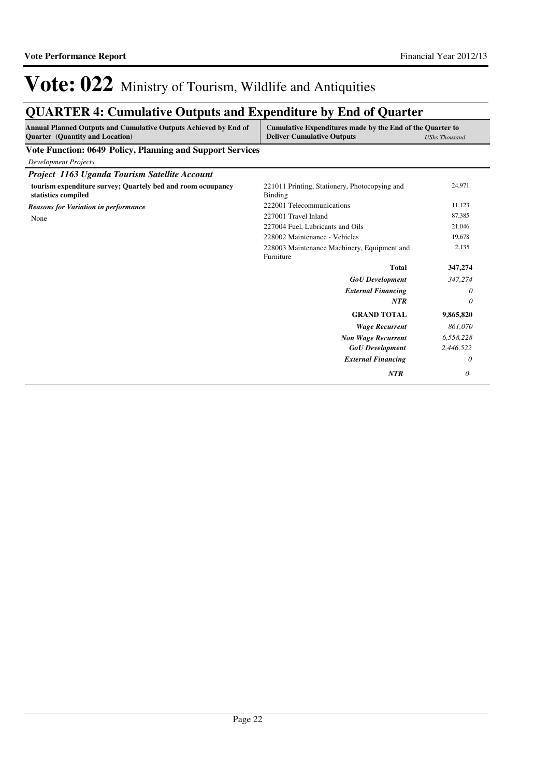## **QUARTER 4: Cumulative Outputs and Expenditure by End of Quarter**

| <b>Annual Planned Outputs and Cumulative Outputs Achieved by End of</b><br><b>Quarter</b> (Quantity and Location) | Cumulative Expenditures made by the End of the Quarter to<br><b>Deliver Cumulative Outputs</b> | <b>UShs Thousand</b> |
|-------------------------------------------------------------------------------------------------------------------|------------------------------------------------------------------------------------------------|----------------------|
| <b>Vote Function: 0649 Policy, Planning and Support Services</b>                                                  |                                                                                                |                      |
| <b>Development Projects</b>                                                                                       |                                                                                                |                      |
| Project 1163 Uganda Tourism Satellite Account                                                                     |                                                                                                |                      |
| tourism expenditure survey; Quartely bed and room ocuupancy<br>statistics compiled                                | 221011 Printing, Stationery, Photocopying and<br>Binding                                       | 24,971               |
| <b>Reasons for Variation in performance</b>                                                                       | 222001 Telecommunications                                                                      | 11,123               |
| None                                                                                                              | 227001 Travel Inland                                                                           | 87,385               |
|                                                                                                                   | 227004 Fuel, Lubricants and Oils                                                               | 21,046               |
|                                                                                                                   | 228002 Maintenance - Vehicles                                                                  | 19,678               |
|                                                                                                                   | 228003 Maintenance Machinery, Equipment and<br>Furniture                                       | 2,135                |
|                                                                                                                   | <b>Total</b>                                                                                   | 347,274              |
|                                                                                                                   | <b>GoU</b> Development                                                                         | 347,274              |
|                                                                                                                   | <b>External Financing</b>                                                                      | 0                    |
|                                                                                                                   | <b>NTR</b>                                                                                     | $\theta$             |
|                                                                                                                   | <b>GRAND TOTAL</b>                                                                             | 9,865,820            |
|                                                                                                                   | <b>Wage Recurrent</b>                                                                          | 861.070              |
|                                                                                                                   | <b>Non Wage Recurrent</b>                                                                      | 6,558,228            |
|                                                                                                                   | <b>GoU</b> Development                                                                         | 2,446,522            |
|                                                                                                                   | <b>External Financing</b>                                                                      | 0                    |
|                                                                                                                   | <b>NTR</b>                                                                                     | 0                    |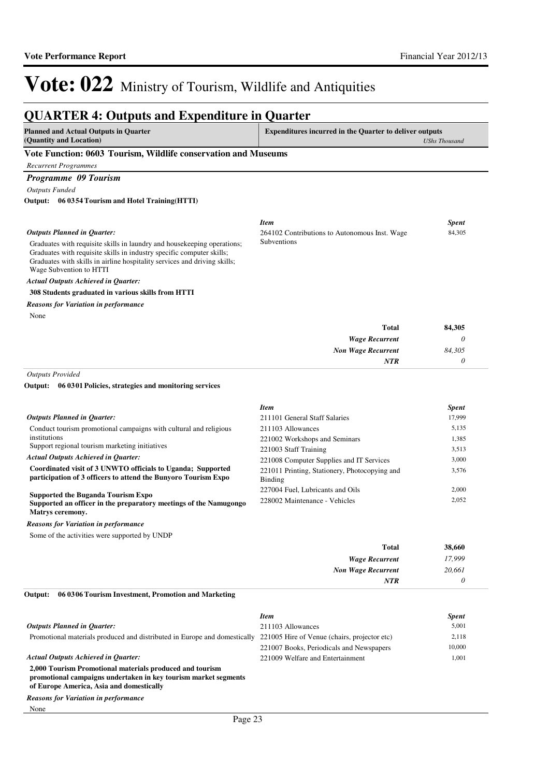#### **QUARTER 4: Outputs and Expenditure in Quarter Planned and Actual Outputs in Quarter (Quantity and Location) Expenditures incurred in the Quarter to deliver outputs**  *UShs Thousand* **Vote Function: 0603 Tourism, Wildlife conservation and Museums** *Recurrent Programmes Programme 09 Tourism Outputs Funded* Graduates with requisite skills in laundry and housekeeping operations; Graduates with requisite skills in industry specific computer skills; Graduates with skills in airline hospitality services and driving skills; Wage Subvention to HTTI **308 Students graduated in various skills from HTTI 06 0354 Tourism and Hotel Training(HTTI) Output:** *Wage Recurrent Non Wage Recurrent* **Total** *0 84,305 0* **84,305** *Actual Outputs Achieved in Quarter: Outputs Planned in Quarter: NTR* None *Reasons for Variation in performance Item Spent* 264102 Contributions to Autonomous Inst. Wage Subventions 84,305 *Outputs Provided* Conduct tourism promotional campaigns with cultural and religious institutions Support regional tourism marketing initiatives **Coordinated visit of 3 UNWTO officials to Uganda; Supported participation of 3 officers to attend the Bunyoro Tourism Expo Supported the Buganda Tourism Expo Supported an officer in the preparatory meetings of the Namugongo Matrys ceremony. 06 0301 Policies, strategies and monitoring services Output:** *Actual Outputs Achieved in Quarter: Outputs Planned in Quarter:* Some of the activities were supported by UNDP *Reasons for Variation in performance Item Spent* 211101 General Staff Salaries 17,999 211103 Allowances 5,135 221002 Workshops and Seminars 1,385 221003 Staff Training 3,513 221008 Computer Supplies and IT Services 3,000 221011 Printing, Stationery, Photocopying and Binding 3,576 227004 Fuel, Lubricants and Oils 2,000 228002 Maintenance - Vehicles 2,052

| 38,660 | <b>Total</b>              |
|--------|---------------------------|
| 17,999 | <b>Wage Recurrent</b>     |
| 20,661 | <b>Non Wage Recurrent</b> |
|        | <b>NTR</b>                |
|        |                           |

#### **06 0306 Tourism Investment, Promotion and Marketing Output:**

|                                                                                                                                                                         | Item                                     | <b>Spent</b> |
|-------------------------------------------------------------------------------------------------------------------------------------------------------------------------|------------------------------------------|--------------|
| <b>Outputs Planned in Ouarter:</b>                                                                                                                                      | 211103 Allowances                        | 5,001        |
| Promotional materials produced and distributed in Europe and domestically 221005 Hire of Venue (chairs, projector etc)                                                  |                                          | 2,118        |
|                                                                                                                                                                         | 221007 Books, Periodicals and Newspapers | 10,000       |
| <b>Actual Outputs Achieved in Ouarter:</b>                                                                                                                              | 221009 Welfare and Entertainment         | 1,001        |
| 2,000 Tourism Promotional materials produced and tourism<br>promotional campaigns undertaken in key tourism market segments<br>of Europe America, Asia and domestically |                                          |              |
| <b>Reasons for Variation in performance</b>                                                                                                                             |                                          |              |

None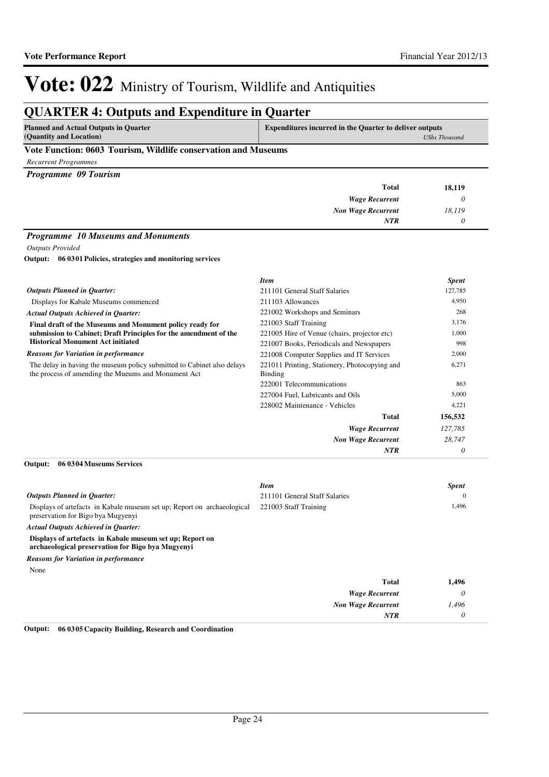## **QUARTER 4: Outputs and Expenditure in Quarter**

**Planned and Actual Outputs in Quarter (Quantity and Location)**

**Expenditures incurred in the Quarter to deliver outputs**  *UShs Thousand*

### **Vote Function: 0603 Tourism, Wildlife conservation and Museums**

*Recurrent Programmes*

*Programme 09 Tourism*

| 18,119 | <b>Total</b>              |
|--------|---------------------------|
|        | <b>Wage Recurrent</b>     |
| 18,119 | <b>Non Wage Recurrent</b> |
|        | <b>NTR</b>                |
|        |                           |

### *Programme 10 Museums and Monuments*

*Outputs Provided*

**06 0301 Policies, strategies and monitoring services Output:**

|                                                                                                                               | <b>Item</b>                                                     | <b>Spent</b> |
|-------------------------------------------------------------------------------------------------------------------------------|-----------------------------------------------------------------|--------------|
| <b>Outputs Planned in Quarter:</b>                                                                                            | 211101 General Staff Salaries                                   | 127,785      |
| Displays for Kabale Museums commenced                                                                                         | 211103 Allowances                                               | 4,950        |
| <b>Actual Outputs Achieved in Quarter:</b>                                                                                    | 221002 Workshops and Seminars                                   | 268          |
| Final draft of the Museums and Monument policy ready for                                                                      | 221003 Staff Training                                           | 3,176        |
| submission to Cabinet; Draft Principles for the amendment of the                                                              | 221005 Hire of Venue (chairs, projector etc)                    | 1,000        |
| <b>Historical Monument Act initiated</b>                                                                                      | 221007 Books, Periodicals and Newspapers                        | 998          |
| <b>Reasons for Variation in performance</b>                                                                                   | 221008 Computer Supplies and IT Services                        | 2,000        |
| The delay in having the museum policy submitted to Cabinet also delays<br>the process of amending the Mueums and Monument Act | 221011 Printing, Stationery, Photocopying and<br><b>Binding</b> | 6,271        |
|                                                                                                                               | 222001 Telecommunications                                       | 863          |
|                                                                                                                               | 227004 Fuel, Lubricants and Oils                                | 5,000        |
|                                                                                                                               | 228002 Maintenance - Vehicles                                   | 4,221        |
|                                                                                                                               | Total                                                           | 156,532      |
|                                                                                                                               | <b>Wage Recurrent</b>                                           | 127,785      |
|                                                                                                                               | <b>Non Wage Recurrent</b>                                       | 28,747       |
|                                                                                                                               | <b>NTR</b>                                                      | 0            |

### **06 0304 Museums Services Output:**

|                                                                                                                | <b>Item</b>                   | <b>Spent</b> |
|----------------------------------------------------------------------------------------------------------------|-------------------------------|--------------|
| <b>Outputs Planned in Ouarter:</b>                                                                             | 211101 General Staff Salaries | $\Omega$     |
| Displays of artefacts in Kabale museum set up; Report on archaeological<br>preservation for Bigo by a Mugyenyi | 221003 Staff Training         | 1,496        |
| <b>Actual Outputs Achieved in Ouarter:</b>                                                                     |                               |              |
| Displays of artefacts in Kabale museum set up; Report on<br>archaeological preservation for Bigo by a Mugyenyi |                               |              |
| <b>Reasons for Variation in performance</b>                                                                    |                               |              |
| None                                                                                                           |                               |              |
|                                                                                                                | <b>Total</b>                  | 1,496        |
|                                                                                                                | <b>Wage Recurrent</b>         | $\theta$     |
|                                                                                                                | <b>Non Wage Recurrent</b>     | 1,496        |
|                                                                                                                | <b>NTR</b>                    | 0            |

**Output: 06 0305 Capacity Building, Research and Coordination**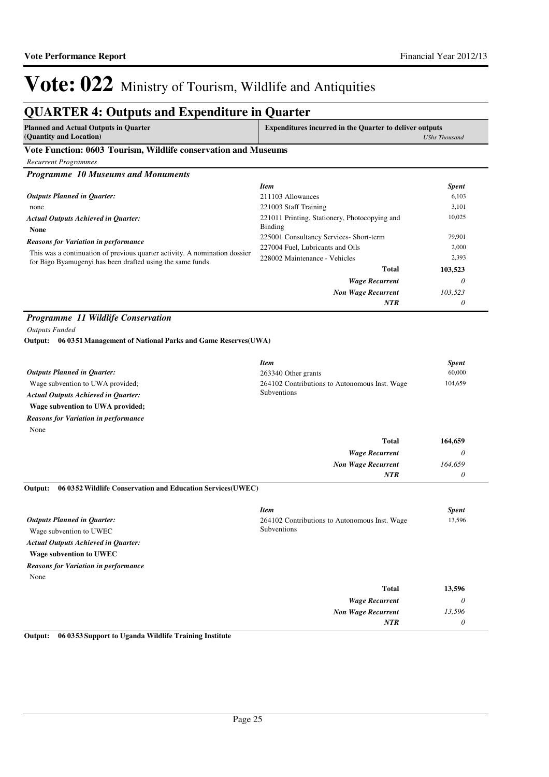## **QUARTER 4: Outputs and Expenditure in Quarter**

| (Quantity and Location)<br>UShs Thousand | <b>Planned and Actual Outputs in Quarter</b> | <b>Expenditures incurred in the Quarter to deliver outputs</b> |
|------------------------------------------|----------------------------------------------|----------------------------------------------------------------|
|                                          |                                              |                                                                |

### **Vote Function: 0603 Tourism, Wildlife conservation and Museums**

*Recurrent Programmes*

*Programme 10 Museums and Monuments*

|                                                                                                                                          | <b>Item</b>                                              | <b>Spent</b> |
|------------------------------------------------------------------------------------------------------------------------------------------|----------------------------------------------------------|--------------|
| <b>Outputs Planned in Ouarter:</b>                                                                                                       | 211103 Allowances                                        | 6,103        |
| none                                                                                                                                     | 221003 Staff Training                                    | 3.101        |
| <b>Actual Outputs Achieved in Ouarter:</b><br><b>None</b>                                                                                | 221011 Printing, Stationery, Photocopying and<br>Binding | 10,025       |
| <b>Reasons for Variation in performance</b>                                                                                              | 225001 Consultancy Services- Short-term                  | 79,901       |
|                                                                                                                                          | 227004 Fuel, Lubricants and Oils                         | 2,000        |
| This was a continuation of previous quarter activity. A nomination dossier<br>for Bigo Byamugenyi has been drafted using the same funds. | 228002 Maintenance - Vehicles                            | 2,393        |
|                                                                                                                                          | Total                                                    | 103,523      |
|                                                                                                                                          | <b>Wage Recurrent</b>                                    | 0            |
|                                                                                                                                          | <b>Non Wage Recurrent</b>                                | 103.523      |
|                                                                                                                                          | <b>NTR</b>                                               | 0            |

### *Programme 11 Wildlife Conservation*

*Outputs Funded*

### **06 0351 Management of National Parks and Game Reserves(UWA) Output:**

|                                             | <b>Item</b>                                   | <b>Spent</b> |
|---------------------------------------------|-----------------------------------------------|--------------|
| <b>Outputs Planned in Ouarter:</b>          | 263340 Other grants                           | 60,000       |
| Wage subvention to UWA provided;            | 264102 Contributions to Autonomous Inst. Wage | 104,659      |
| <b>Actual Outputs Achieved in Ouarter:</b>  | Subventions                                   |              |
| Wage subvention to UWA provided;            |                                               |              |
| <b>Reasons for Variation in performance</b> |                                               |              |
| None                                        |                                               |              |

|                                                                        | <b>Total</b>                                  | 164,659      |
|------------------------------------------------------------------------|-----------------------------------------------|--------------|
|                                                                        | <b>Wage Recurrent</b>                         | 0            |
|                                                                        | <b>Non Wage Recurrent</b>                     | 164,659      |
|                                                                        | <b>NTR</b>                                    | 0            |
| 06 0352 Wildlife Conservation and Education Services (UWEC)<br>Output: |                                               |              |
|                                                                        | <b>Item</b>                                   | <b>Spent</b> |
| <b>Outputs Planned in Quarter:</b>                                     | 264102 Contributions to Autonomous Inst. Wage | 13,596       |
| Wage subvention to UWEC                                                | Subventions                                   |              |
| <b>Actual Outputs Achieved in Quarter:</b>                             |                                               |              |
| Wage subvention to UWEC                                                |                                               |              |
| <b>Reasons for Variation in performance</b>                            |                                               |              |
| None                                                                   |                                               |              |

| 13,596 | Total                     |
|--------|---------------------------|
|        | <b>Wage Recurrent</b>     |
| 13,596 | <b>Non Wage Recurrent</b> |
|        | <b>NTR</b>                |
|        |                           |

**Output: 06 0353 Support to Uganda Wildlife Training Institute**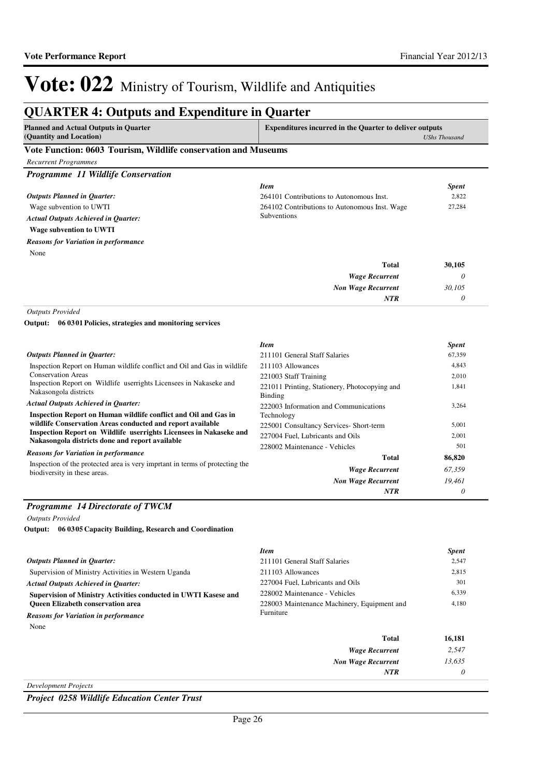## **QUARTER 4: Outputs and Expenditure in Quarter**

| <b>Planned and Actual Outputs in Quarter</b>                   | <b>Expenditures incurred in the Quarter to deliver outputs</b> |  |
|----------------------------------------------------------------|----------------------------------------------------------------|--|
| (Quantity and Location)                                        | <b>UShs Thousand</b>                                           |  |
| Vete Eunstian: 0602 Tourism, Wildlife conservation and Museums |                                                                |  |

### **Vote Function: 0603 Tourism, Wildlife conservation and Museums**

| <b>Recurrent Programmes</b>                 |                                               |              |
|---------------------------------------------|-----------------------------------------------|--------------|
| <b>Programme 11 Wildlife Conservation</b>   |                                               |              |
|                                             | <b>Item</b>                                   | <b>Spent</b> |
| <b>Outputs Planned in Ouarter:</b>          | 264101 Contributions to Autonomous Inst.      | 2,822        |
| Wage subvention to UWTI                     | 264102 Contributions to Autonomous Inst. Wage | 27,284       |
| <b>Actual Outputs Achieved in Ouarter:</b>  | <b>Subventions</b>                            |              |
| <b>Wage subvention to UWTI</b>              |                                               |              |
| <b>Reasons for Variation in performance</b> |                                               |              |
| None                                        |                                               |              |

| 30,105 | <b>Total</b>              |
|--------|---------------------------|
|        | <b>Wage Recurrent</b>     |
| 30,105 | <b>Non Wage Recurrent</b> |
|        | <b>NTR</b>                |

*Outputs Provided*

**06 0301 Policies, strategies and monitoring services Output:**

|                                                                                                                                                                                                                                                                                                                                                                                                                              | <b>Item</b>                                                     | <b>Spent</b> |
|------------------------------------------------------------------------------------------------------------------------------------------------------------------------------------------------------------------------------------------------------------------------------------------------------------------------------------------------------------------------------------------------------------------------------|-----------------------------------------------------------------|--------------|
| <b>Outputs Planned in Ouarter:</b>                                                                                                                                                                                                                                                                                                                                                                                           | 211101 General Staff Salaries                                   | 67,359       |
| Inspection Report on Human wildlife conflict and Oil and Gas in wildlife                                                                                                                                                                                                                                                                                                                                                     | 211103 Allowances                                               | 4,843        |
| <b>Conservation Areas</b>                                                                                                                                                                                                                                                                                                                                                                                                    | 221003 Staff Training                                           | 2,010        |
| Inspection Report on Wildlife userrights Licensees in Nakaseke and<br>Nakasongola districts                                                                                                                                                                                                                                                                                                                                  | 221011 Printing, Stationery, Photocopying and<br><b>Binding</b> | 1,841        |
| <b>Actual Outputs Achieved in Ouarter:</b>                                                                                                                                                                                                                                                                                                                                                                                   | 222003 Information and Communications                           | 3,264        |
| Inspection Report on Human wildlife conflict and Oil and Gas in<br>wildlife Conservation Areas conducted and report available<br><b>Inspection Report on Wildlife userrights Licensees in Nakaseke and</b><br>Nakasongola districts done and report available<br><b>Reasons for Variation in performance</b><br>Inspection of the protected area is very impriant in terms of protecting the<br>biodiversity in these areas. | Technology                                                      |              |
|                                                                                                                                                                                                                                                                                                                                                                                                                              | 225001 Consultancy Services- Short-term                         | 5,001        |
|                                                                                                                                                                                                                                                                                                                                                                                                                              | 227004 Fuel, Lubricants and Oils                                | 2,001        |
|                                                                                                                                                                                                                                                                                                                                                                                                                              | 228002 Maintenance - Vehicles                                   | 501          |
|                                                                                                                                                                                                                                                                                                                                                                                                                              | Total                                                           | 86,820       |
|                                                                                                                                                                                                                                                                                                                                                                                                                              | <b>Wage Recurrent</b>                                           | 67,359       |
|                                                                                                                                                                                                                                                                                                                                                                                                                              | <b>Non Wage Recurrent</b>                                       | 19,461       |
|                                                                                                                                                                                                                                                                                                                                                                                                                              | <b>NTR</b>                                                      | 0            |

### *Programme 14 Directorate of TWCM*

*Outputs Provided*

**06 0305 Capacity Building, Research and Coordination Output:**

|                                                                 | <b>Item</b>                                 | <b>Spent</b> |
|-----------------------------------------------------------------|---------------------------------------------|--------------|
| <b>Outputs Planned in Ouarter:</b>                              | 211101 General Staff Salaries               | 2,547        |
| Supervision of Ministry Activities in Western Uganda            | 211103 Allowances                           | 2,815        |
| <b>Actual Outputs Achieved in Ouarter:</b>                      | 227004 Fuel. Lubricants and Oils            | 301          |
| Supervision of Ministry Activities conducted in UWTI Kasese and | 228002 Maintenance - Vehicles               | 6,339        |
| <b>Oueen Elizabeth conservation area</b>                        | 228003 Maintenance Machinery, Equipment and | 4,180        |
| <b>Reasons for Variation in performance</b>                     | Furniture                                   |              |
| None                                                            |                                             |              |
|                                                                 | Total                                       | 16,181       |
|                                                                 | <b>Wage Recurrent</b>                       | 2.547        |

*Development Projects*

*Project 0258 Wildlife Education Center Trust*

*Non Wage Recurrent*

*NTR*

*13,635 0*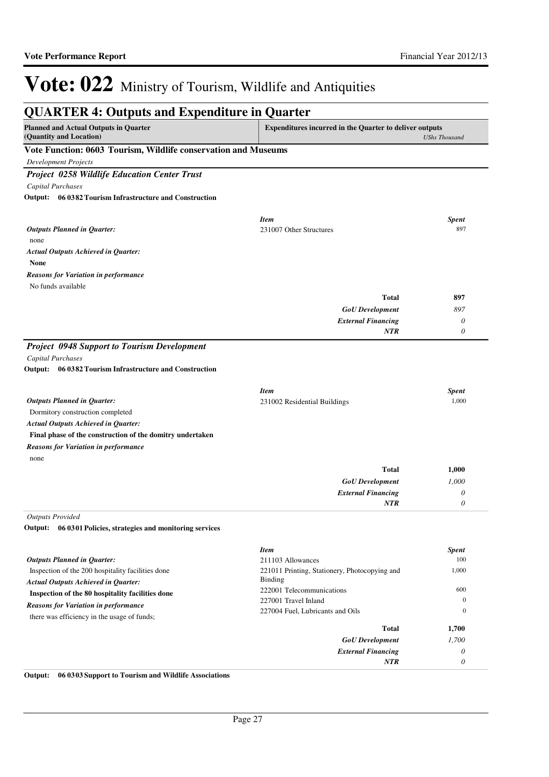| <b>QUARTER 4: Outputs and Expenditure in Quarter</b>                    |                                                                |                      |
|-------------------------------------------------------------------------|----------------------------------------------------------------|----------------------|
| <b>Planned and Actual Outputs in Quarter</b><br>(Quantity and Location) | <b>Expenditures incurred in the Quarter to deliver outputs</b> | <b>UShs Thousand</b> |
| Vote Function: 0603 Tourism, Wildlife conservation and Museums          |                                                                |                      |
| Development Projects                                                    |                                                                |                      |
| <b>Project 0258 Wildlife Education Center Trust</b>                     |                                                                |                      |
| <b>Capital Purchases</b>                                                |                                                                |                      |
| Output: 06 0382 Tourism Infrastructure and Construction                 |                                                                |                      |
|                                                                         |                                                                |                      |
| <b>Outputs Planned in Quarter:</b>                                      | <b>Item</b><br>231007 Other Structures                         | <b>Spent</b><br>897  |
| none                                                                    |                                                                |                      |
| <b>Actual Outputs Achieved in Quarter:</b>                              |                                                                |                      |
| <b>None</b>                                                             |                                                                |                      |
| <b>Reasons for Variation in performance</b>                             |                                                                |                      |
| No funds available                                                      |                                                                |                      |
|                                                                         | <b>Total</b>                                                   | 897                  |
|                                                                         | <b>GoU</b> Development                                         | 897                  |
|                                                                         | <b>External Financing</b>                                      | $\theta$             |
|                                                                         | <b>NTR</b>                                                     | $\theta$             |
| <b>Project 0948 Support to Tourism Development</b>                      |                                                                |                      |
| <b>Capital Purchases</b>                                                |                                                                |                      |
| Output: 06 0382 Tourism Infrastructure and Construction                 |                                                                |                      |
|                                                                         |                                                                |                      |
|                                                                         | <b>Item</b>                                                    | <b>Spent</b>         |
| <b>Outputs Planned in Quarter:</b>                                      | 231002 Residential Buildings                                   | 1,000                |
| Dormitory construction completed                                        |                                                                |                      |
| <b>Actual Outputs Achieved in Quarter:</b>                              |                                                                |                      |
| Final phase of the construction of the domitry undertaken               |                                                                |                      |
| <b>Reasons for Variation in performance</b>                             |                                                                |                      |
| none                                                                    |                                                                |                      |
|                                                                         | <b>Total</b>                                                   | 1,000                |
|                                                                         | <b>GoU</b> Development                                         | 1,000                |
|                                                                         | <b>External Financing</b>                                      | 0                    |
|                                                                         | <b>NTR</b>                                                     | 0                    |
| <b>Outputs Provided</b>                                                 |                                                                |                      |
| Output:<br>06 0301 Policies, strategies and monitoring services         |                                                                |                      |
|                                                                         | <b>Item</b>                                                    | <b>Spent</b>         |
| <b>Outputs Planned in Quarter:</b>                                      | 211103 Allowances                                              | 100                  |
| Inspection of the 200 hospitality facilities done                       | 221011 Printing, Stationery, Photocopying and                  | 1,000                |
| <b>Actual Outputs Achieved in Quarter:</b>                              | Binding                                                        |                      |
| Inspection of the 80 hospitality facilities done                        | 222001 Telecommunications                                      | 600                  |
| <b>Reasons for Variation in performance</b>                             | 227001 Travel Inland                                           | $\boldsymbol{0}$     |
| there was efficiency in the usage of funds;                             | 227004 Fuel, Lubricants and Oils                               | $\boldsymbol{0}$     |
|                                                                         | <b>Total</b>                                                   | 1,700                |
|                                                                         | <b>GoU</b> Development                                         | 1,700                |
|                                                                         | <b>External Financing</b>                                      | 0                    |
|                                                                         | NTR                                                            | 0                    |

**Output: 06 0303 Support to Tourism and Wildlife Associations**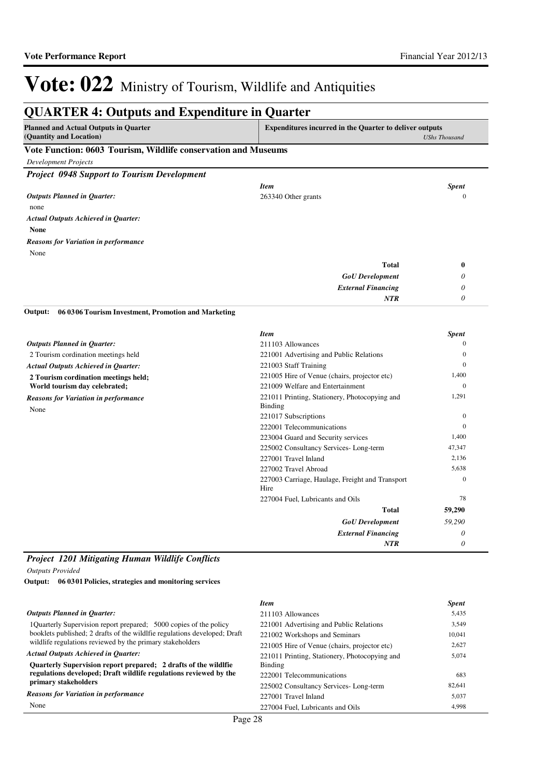| <b>Planned and Actual Outputs in Quarter</b>                   | <b>Expenditures incurred in the Quarter to deliver outputs</b> |                                                                                                |
|----------------------------------------------------------------|----------------------------------------------------------------|------------------------------------------------------------------------------------------------|
| (Quantity and Location)                                        |                                                                | <b>UShs Thousand</b>                                                                           |
| Vote Function: 0603 Tourism, Wildlife conservation and Museums |                                                                |                                                                                                |
| <b>Development Projects</b>                                    |                                                                |                                                                                                |
| <b>Project 0948 Support to Tourism Development</b>             |                                                                |                                                                                                |
|                                                                | <b>Item</b>                                                    | <b>Spent</b>                                                                                   |
| <b>Outputs Planned in Quarter:</b>                             | 263340 Other grants                                            | $\mathbf{0}$                                                                                   |
| none                                                           |                                                                |                                                                                                |
| <b>Actual Outputs Achieved in Quarter:</b>                     |                                                                |                                                                                                |
| <b>None</b>                                                    |                                                                |                                                                                                |
| <b>Reasons for Variation in performance</b>                    |                                                                |                                                                                                |
| None                                                           |                                                                |                                                                                                |
|                                                                | <b>Total</b>                                                   | $\boldsymbol{0}$                                                                               |
|                                                                | <b>GoU</b> Development                                         | 0                                                                                              |
|                                                                | <b>External Financing</b>                                      | 0                                                                                              |
|                                                                | <b>NTR</b>                                                     | 0                                                                                              |
| <b>Outputs Planned in Quarter:</b>                             | <b>Item</b><br>211103 Allowances                               | <b>Spent</b><br>$\theta$                                                                       |
|                                                                |                                                                |                                                                                                |
| 2 Tourism cordination meetings held                            | 221001 Advertising and Public Relations                        | $\overline{0}$                                                                                 |
| <b>Actual Outputs Achieved in Quarter:</b>                     | 221003 Staff Training                                          | $\mathbf{0}$                                                                                   |
| 2 Tourism cordination meetings held;                           | 221005 Hire of Venue (chairs, projector etc)                   | 1,400                                                                                          |
| World tourism day celebrated;                                  | 221009 Welfare and Entertainment                               | $\mathbf{0}$                                                                                   |
|                                                                | 221011 Printing, Stationery, Photocopying and                  |                                                                                                |
|                                                                | <b>Binding</b>                                                 |                                                                                                |
| None                                                           | 221017 Subscriptions                                           |                                                                                                |
|                                                                | 222001 Telecommunications                                      |                                                                                                |
|                                                                | 223004 Guard and Security services                             |                                                                                                |
|                                                                | 225002 Consultancy Services-Long-term                          |                                                                                                |
|                                                                | 227001 Travel Inland                                           |                                                                                                |
|                                                                | 227002 Travel Abroad                                           |                                                                                                |
|                                                                | 227003 Carriage, Haulage, Freight and Transport<br>Hire        | 1,291<br>$\overline{0}$<br>$\overline{0}$<br>1,400<br>47,347<br>2,136<br>5,638<br>$\mathbf{0}$ |
|                                                                | 227004 Fuel, Lubricants and Oils                               | 78                                                                                             |
|                                                                | Total                                                          | 59,290                                                                                         |
| <b>Reasons for Variation in performance</b>                    | <b>GoU</b> Development                                         | 59.290                                                                                         |
|                                                                | <b>External Financing</b>                                      | 0                                                                                              |

### *Project 1201 Mitigating Human Wildlife Conflicts*

*Outputs Provided*

**06 0301 Policies, strategies and monitoring services Output:**

|                                                                           | <b>Item</b>                                   | <b>Spent</b> |
|---------------------------------------------------------------------------|-----------------------------------------------|--------------|
| Outputs Planned in Ouarter:                                               | 211103 Allowances                             | 5,435        |
| 1Quarterly Supervision report prepared; 5000 copies of the policy         | 221001 Advertising and Public Relations       | 3,549        |
| booklets published; 2 drafts of the wildlfie regulations developed; Draft | 221002 Workshops and Seminars                 | 10.041       |
| wildlife regulations reviewed by the primary stakeholders                 | 221005 Hire of Venue (chairs, projector etc)  | 2,627        |
| <b>Actual Outputs Achieved in Ouarter:</b>                                | 221011 Printing, Stationery, Photocopying and | 5.074        |
| Quarterly Supervision report prepared; 2 drafts of the wildlfie           | Binding                                       |              |
| regulations developed; Draft wildlife regulations reviewed by the         | 222001 Telecommunications                     | 683          |
| primary stakeholders                                                      | 225002 Consultancy Services-Long-term         | 82.641       |
| <b>Reasons for Variation in performance</b>                               | 227001 Travel Inland                          | 5,037        |
| None                                                                      | 227004 Fuel. Lubricants and Oils              | 4.998        |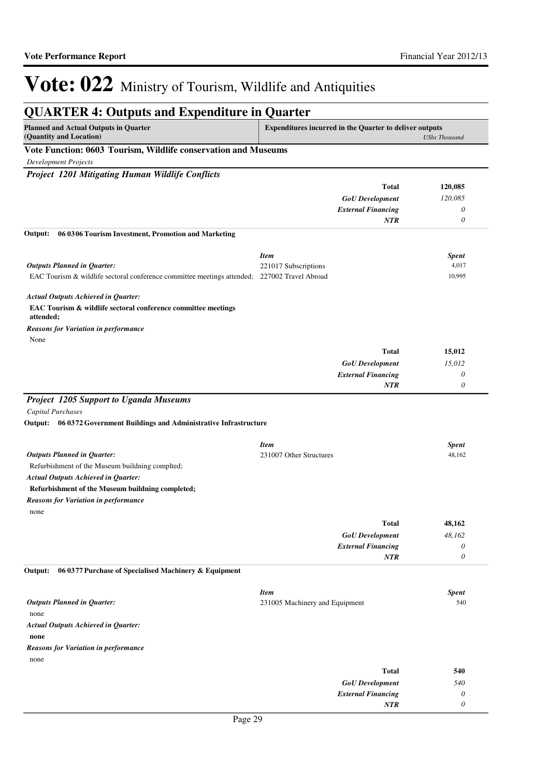| <b>QUARTER 4: Outputs and Expenditure in Quarter</b>                                         |                                                                |                       |
|----------------------------------------------------------------------------------------------|----------------------------------------------------------------|-----------------------|
| <b>Planned and Actual Outputs in Quarter</b><br>(Quantity and Location)                      | <b>Expenditures incurred in the Quarter to deliver outputs</b> | <b>UShs Thousand</b>  |
| Vote Function: 0603 Tourism, Wildlife conservation and Museums                               |                                                                |                       |
| <b>Development Projects</b>                                                                  |                                                                |                       |
| <b>Project 1201 Mitigating Human Wildlife Conflicts</b>                                      |                                                                |                       |
|                                                                                              | <b>Total</b>                                                   | 120,085               |
|                                                                                              | <b>GoU</b> Development                                         | 120,085               |
|                                                                                              | <b>External Financing</b>                                      | 0                     |
|                                                                                              | <b>NTR</b>                                                     | $\theta$              |
| 06 03 06 Tourism Investment, Promotion and Marketing<br>Output:                              |                                                                |                       |
|                                                                                              | <b>Item</b>                                                    | <b>Spent</b>          |
| <b>Outputs Planned in Quarter:</b>                                                           | 221017 Subscriptions                                           | 4,017                 |
| EAC Tourism & wildlife sectoral conference committee meetings attended; 227002 Travel Abroad |                                                                | 10,995                |
| <b>Actual Outputs Achieved in Quarter:</b>                                                   |                                                                |                       |
| EAC Tourism & wildlife sectoral conference committee meetings                                |                                                                |                       |
| attended;<br><b>Reasons for Variation in performance</b>                                     |                                                                |                       |
| None                                                                                         |                                                                |                       |
|                                                                                              | <b>Total</b>                                                   | 15,012                |
|                                                                                              | <b>GoU</b> Development                                         | 15,012                |
|                                                                                              | <b>External Financing</b>                                      | 0                     |
|                                                                                              | <b>NTR</b>                                                     | 0                     |
| <b>Project 1205 Support to Uganda Museums</b>                                                |                                                                |                       |
| <b>Capital Purchases</b>                                                                     |                                                                |                       |
| 06 0372 Government Buildings and Administrative Infrastructure<br>Output:                    |                                                                |                       |
|                                                                                              | <b>Item</b>                                                    | <b>Spent</b>          |
| <b>Outputs Planned in Quarter:</b>                                                           | 231007 Other Structures                                        | 48,162                |
| Refurbishment of the Museum buildning complted;                                              |                                                                |                       |
| <b>Actual Outputs Achieved in Quarter:</b>                                                   |                                                                |                       |
| Refurbishment of the Museum buildning completed;                                             |                                                                |                       |
| <b>Reasons for Variation in performance</b>                                                  |                                                                |                       |
| none                                                                                         | <b>Total</b>                                                   | 48,162                |
|                                                                                              | <b>GoU</b> Development                                         | 48,162                |
|                                                                                              | <b>External Financing</b>                                      | 0                     |
|                                                                                              | NTR                                                            | $\boldsymbol{\theta}$ |
| Output:<br>06 0377 Purchase of Specialised Machinery & Equipment                             |                                                                |                       |
|                                                                                              | <b>Item</b>                                                    | <b>Spent</b>          |
| <b>Outputs Planned in Quarter:</b>                                                           | 231005 Machinery and Equipment                                 | 540                   |
| none                                                                                         |                                                                |                       |
| <b>Actual Outputs Achieved in Quarter:</b>                                                   |                                                                |                       |
| none                                                                                         |                                                                |                       |
| <b>Reasons for Variation in performance</b>                                                  |                                                                |                       |
| none                                                                                         |                                                                |                       |
|                                                                                              | <b>Total</b>                                                   | 540                   |
|                                                                                              | <b>GoU</b> Development                                         | 540                   |
|                                                                                              | <b>External Financing</b>                                      | 0                     |
|                                                                                              | NTR                                                            | $\theta$              |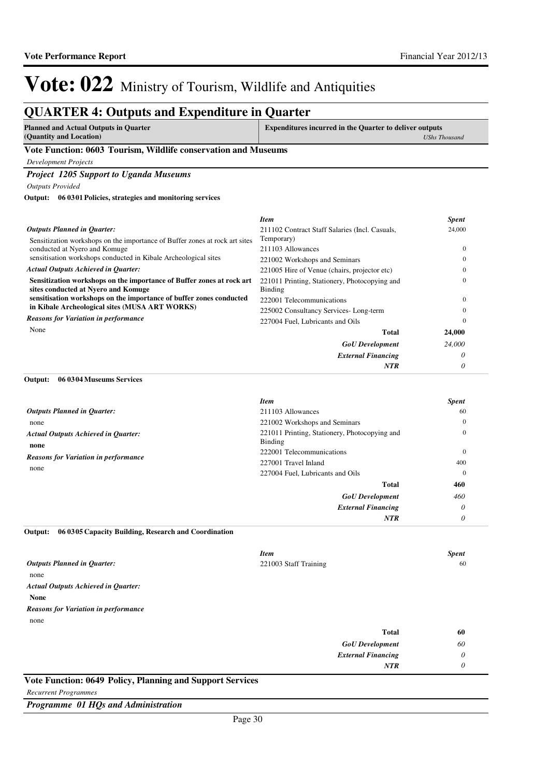## **QUARTER 4: Outputs and Expenditure in Quarter**

| Planned and Actual Outputs in Quarter | <b>Expenditures incurred in the Quarter to deliver outputs</b> |
|---------------------------------------|----------------------------------------------------------------|
| (Quantity and Location)               | UShs Thousand                                                  |

### **Vote Function: 0603 Tourism, Wildlife conservation and Museums**

*Development Projects*

### *Project 1205 Support to Uganda Museums*

*Outputs Provided*

**06 0301 Policies, strategies and monitoring services Output:**

|                                                                                                              | Item                                                     | <b>Spent</b> |
|--------------------------------------------------------------------------------------------------------------|----------------------------------------------------------|--------------|
| <b>Outputs Planned in Quarter:</b>                                                                           | 211102 Contract Staff Salaries (Incl. Casuals,           | 24,000       |
| Sensitization workshops on the importance of Buffer zones at rock art sites                                  | Temporary)                                               |              |
| conducted at Nyero and Komuge                                                                                | 211103 Allowances                                        | 0            |
| sensitisation workshops conducted in Kibale Archeological sites                                              | 221002 Workshops and Seminars                            |              |
| <b>Actual Outputs Achieved in Quarter:</b>                                                                   | 221005 Hire of Venue (chairs, projector etc)             |              |
| Sensitization workshops on the importance of Buffer zones at rock art<br>sites conducted at Nyero and Komuge | 221011 Printing, Stationery, Photocopying and<br>Binding |              |
| sensitisation workshops on the importance of buffer zones conducted                                          | 222001 Telecommunications                                | 0            |
| in Kibale Archeological sites (MUSA ART WORKS)                                                               | 225002 Consultancy Services-Long-term                    |              |
| <b>Reasons for Variation in performance</b>                                                                  | 227004 Fuel, Lubricants and Oils                         | 0            |
| None                                                                                                         | <b>Total</b>                                             | 24,000       |
|                                                                                                              | <b>GoU</b> Development                                   | 24,000       |
|                                                                                                              | <b>External Financing</b>                                | 0            |
|                                                                                                              | <b>NTR</b>                                               |              |

### **06 0304 Museums Services Output:**

|                                                     | <b>Item</b>                                              | <b>Spent</b>        |
|-----------------------------------------------------|----------------------------------------------------------|---------------------|
| <b>Outputs Planned in Quarter:</b>                  | 211103 Allowances                                        | 60                  |
| none                                                | 221002 Workshops and Seminars                            | $\mathbf{0}$        |
| <b>Actual Outputs Achieved in Quarter:</b><br>none  | 221011 Printing, Stationery, Photocopying and<br>Binding | 0                   |
| <b>Reasons for Variation in performance</b><br>none | 222001 Telecommunications<br>227001 Travel Inland        | $\mathbf{0}$<br>400 |
|                                                     | 227004 Fuel, Lubricants and Oils                         | $\mathbf{0}$        |
|                                                     | Total                                                    | 460                 |
|                                                     | <b>GoU</b> Development                                   | 460                 |
|                                                     | <b>External Financing</b>                                | $\theta$            |
|                                                     | <b>NTR</b>                                               | $\theta$            |

### **06 0305 Capacity Building, Research and Coordination Output:**

|                                             | <b>Item</b>            | <b>Spent</b> |
|---------------------------------------------|------------------------|--------------|
| <b>Outputs Planned in Quarter:</b>          | 221003 Staff Training  | 60           |
| none                                        |                        |              |
| <b>Actual Outputs Achieved in Quarter:</b>  |                        |              |
| <b>None</b>                                 |                        |              |
| <b>Reasons for Variation in performance</b> |                        |              |
| none                                        |                        |              |
|                                             | <b>Total</b>           | 60           |
|                                             | <b>GoU</b> Development | 60           |
|                                             |                        |              |

| <b>External Financing</b> |  |
|---------------------------|--|
| NTR                       |  |

### **Vote Function: 0649 Policy, Planning and Support Services**

*Recurrent Programmes*

*Programme 01 HQs and Administration*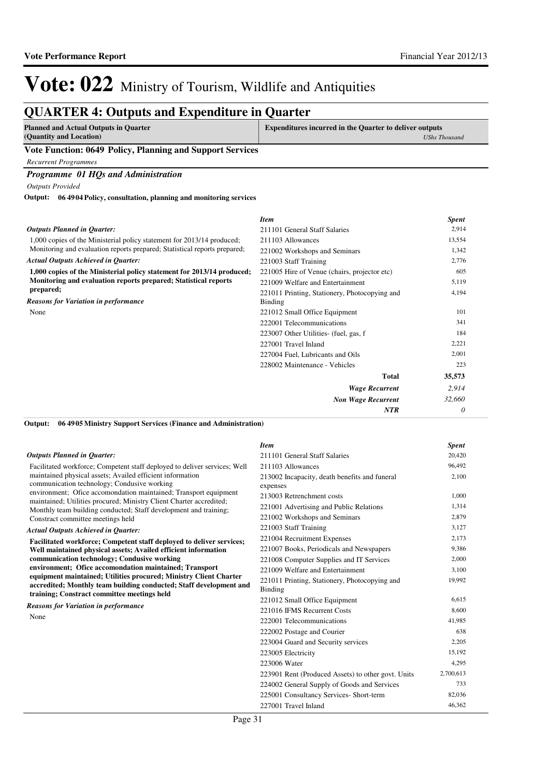## **QUARTER 4: Outputs and Expenditure in Quarter**

| <b>Planned and Actual Outputs in Quarter</b> | <b>Expenditures incurred in the Quarter to deliver outputs</b> |
|----------------------------------------------|----------------------------------------------------------------|
| (Quantity and Location)                      | UShs Thousand                                                  |
| --------<br>___                              |                                                                |

### **Vote Function: 0649 Policy, Planning and Support Services**

*Recurrent Programmes*

### *Programme 01 HQs and Administration*

*Outputs Provided*

**06 4904 Policy, consultation, planning and monitoring services Output:**

|                                                                           | <b>Item</b>                                   | <b>Spent</b> |
|---------------------------------------------------------------------------|-----------------------------------------------|--------------|
| <b>Outputs Planned in Quarter:</b>                                        | 211101 General Staff Salaries                 | 2,914        |
| 1,000 copies of the Ministerial policy statement for 2013/14 produced;    | 211103 Allowances                             | 13,554       |
| Monitoring and evaluation reports prepared; Statistical reports prepared; | 221002 Workshops and Seminars                 | 1,342        |
| <b>Actual Outputs Achieved in Quarter:</b>                                | 221003 Staff Training                         | 2,776        |
| 1,000 copies of the Ministerial policy statement for 2013/14 produced;    | 221005 Hire of Venue (chairs, projector etc)  | 605          |
| Monitoring and evaluation reports prepared; Statistical reports           | 221009 Welfare and Entertainment              | 5,119        |
| prepared;                                                                 | 221011 Printing, Stationery, Photocopying and | 4,194        |
| <b>Reasons for Variation in performance</b>                               | <b>Binding</b>                                |              |
| None                                                                      | 221012 Small Office Equipment                 | 101          |
|                                                                           | 222001 Telecommunications                     | 341          |
|                                                                           | 223007 Other Utilities- (fuel, gas, f         | 184          |
|                                                                           | 227001 Travel Inland                          | 2,221        |
|                                                                           | 227004 Fuel, Lubricants and Oils              | 2,001        |
|                                                                           | 228002 Maintenance - Vehicles                 | 223          |
|                                                                           | <b>Total</b>                                  | 35,573       |
|                                                                           | <b>Wage Recurrent</b>                         | 2,914        |
|                                                                           | <b>Non Wage Recurrent</b>                     | 32,660       |
|                                                                           | <b>NTR</b>                                    | 0            |

### **06 4905 Ministry Support Services (Finance and Administration) Output:**

|                                                                                                                                                                                                                                                                                                 | <b>Item</b>                                                     | <b>Spent</b> |
|-------------------------------------------------------------------------------------------------------------------------------------------------------------------------------------------------------------------------------------------------------------------------------------------------|-----------------------------------------------------------------|--------------|
| <b>Outputs Planned in Quarter:</b>                                                                                                                                                                                                                                                              | 211101 General Staff Salaries                                   | 20,420       |
| Facilitated workforce; Competent staff deployed to deliver services; Well                                                                                                                                                                                                                       | 211103 Allowances                                               | 96,492       |
| maintained physical assets; Availed efficient information<br>communication technology; Condusive working                                                                                                                                                                                        | 213002 Incapacity, death benefits and funeral<br>expenses       | 2,100        |
| environment; Ofice accomondation maintained; Transport equipment                                                                                                                                                                                                                                | 213003 Retrenchment costs                                       | 1,000        |
| maintained; Utilities procured; Ministry Client Charter accredited;<br>Monthly team building conducted; Staff development and training;                                                                                                                                                         | 221001 Advertising and Public Relations                         | 1,314        |
| Constract committee meetings held                                                                                                                                                                                                                                                               | 221002 Workshops and Seminars                                   | 2,879        |
| <b>Actual Outputs Achieved in Ouarter:</b>                                                                                                                                                                                                                                                      | 221003 Staff Training                                           | 3,127        |
| Facilitated workforce; Competent staff deployed to deliver services;                                                                                                                                                                                                                            | 221004 Recruitment Expenses                                     | 2,173        |
| Well maintained physical assets; Availed efficient information                                                                                                                                                                                                                                  | 221007 Books, Periodicals and Newspapers                        | 9,386        |
| communication technology; Condusive working<br>environment; Ofice accomondation maintained; Transport<br>equipment maintained; Utilities procured; Ministry Client Charter<br>accredited; Monthly team building conducted; Staff development and<br>training; Constract committee meetings held | 221008 Computer Supplies and IT Services                        | 2,000        |
|                                                                                                                                                                                                                                                                                                 | 221009 Welfare and Entertainment                                | 3,100        |
|                                                                                                                                                                                                                                                                                                 | 221011 Printing, Stationery, Photocopying and<br><b>Binding</b> | 19,992       |
|                                                                                                                                                                                                                                                                                                 | 221012 Small Office Equipment                                   | 6,615        |
| <b>Reasons for Variation in performance</b>                                                                                                                                                                                                                                                     | 221016 IFMS Recurrent Costs                                     | 8,600        |
| None                                                                                                                                                                                                                                                                                            | 222001 Telecommunications                                       | 41.985       |
|                                                                                                                                                                                                                                                                                                 | 222002 Postage and Courier                                      | 638          |
|                                                                                                                                                                                                                                                                                                 | 223004 Guard and Security services                              | 2,205        |
|                                                                                                                                                                                                                                                                                                 | 223005 Electricity                                              | 15,192       |
|                                                                                                                                                                                                                                                                                                 | 223006 Water                                                    | 4,295        |
|                                                                                                                                                                                                                                                                                                 | 223901 Rent (Produced Assets) to other govt. Units              | 2,700,613    |
|                                                                                                                                                                                                                                                                                                 | 224002 General Supply of Goods and Services                     | 733          |
|                                                                                                                                                                                                                                                                                                 | 225001 Consultancy Services- Short-term                         | 82,036       |
|                                                                                                                                                                                                                                                                                                 | 227001 Travel Inland                                            | 46,362       |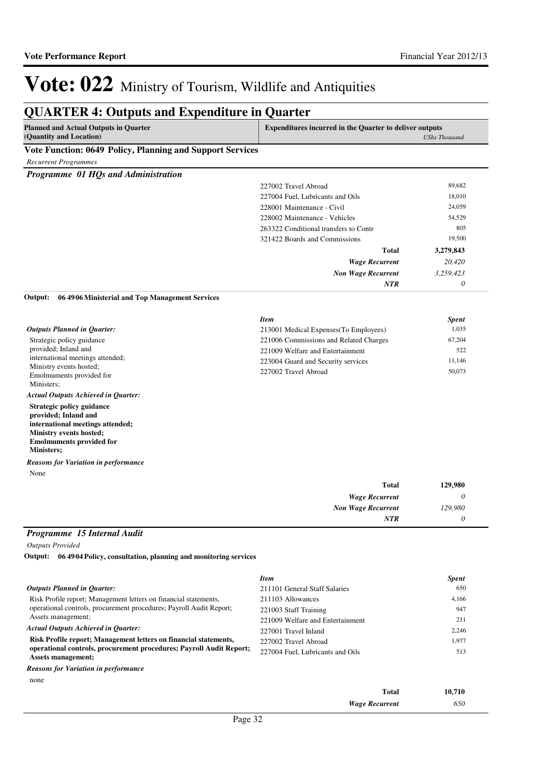*0*

*NTR*

# Vote: 022 Ministry of Tourism, Wildlife and Antiquities

#### **QUARTER 4: Outputs and Expenditure in Quarter Planned and Actual Outputs in Quarter (Quantity and Location) Expenditures incurred in the Quarter to deliver outputs**  *UShs Thousand* **Vote Function: 0649 Policy, Planning and Support Services** *Recurrent Programmes Programme 01 HQs and Administration Wage Recurrent Non Wage Recurrent* **Total** *20,420 3,259,423 0* **3,279,843** *NTR* 227002 Travel Abroad 89,682 227004 Fuel, Lubricants and Oils 18,010 228001 Maintenance - Civil 24,059 228002 Maintenance - Vehicles 54,529 263322 Conditional transfers to Contr 805 321422 Boards and Commissions 19,500 Strategic policy guidance provided; Inland and international meetings attended; Ministry events hosted; Emolmuments provided for Ministers; **Strategic policy guidance provided; Inland and international meetings attended; Ministry events hosted; Emolmuments provided for Ministers; 06 4906 Ministerial and Top Management Services** *Wage Recurrent Non Wage Recurrent* **Total** *0 129,980* **129,980** *Actual Outputs Achieved in Quarter: Outputs Planned in Quarter:* **Output:** None *Reasons for Variation in performance Item Spent* 213001 Medical Expenses(To Employees) 1,035 221006 Commissions and Related Charges 67,204 221009 Welfare and Entertainment 522 223004 Guard and Security services 11,146 227002 Travel Abroad 50,073

### *Programme 15 Internal Audit*

*Outputs Provided*

**06 4904 Policy, consultation, planning and monitoring services Output:**

|                                                                                           | <b>Item</b>                      | <b>Spent</b> |
|-------------------------------------------------------------------------------------------|----------------------------------|--------------|
| Outputs Planned in Ouarter:                                                               | 211101 General Staff Salaries    | 650          |
| Risk Profile report; Management letters on financial statements,                          | 211103 Allowances                | 4,166        |
| operational controls, procurement procedures; Payroll Audit Report;                       | 221003 Staff Training            | 947          |
| Assets management;                                                                        | 221009 Welfare and Entertainment | 211          |
| <b>Actual Outputs Achieved in Ouarter:</b>                                                | 227001 Travel Inland             | 2,246        |
| Risk Profile report; Management letters on financial statements,                          | 227002 Travel Abroad             | 1,977        |
| operational controls, procurement procedures; Payroll Audit Report;<br>Assets management; | 227004 Fuel, Lubricants and Oils | 513          |
| <b>Reasons for Variation in performance</b>                                               |                                  |              |

none

| ліс |                       |        |
|-----|-----------------------|--------|
|     | <b>Total</b>          | 10,710 |
|     | <b>Wage Recurrent</b> | 650    |
|     |                       |        |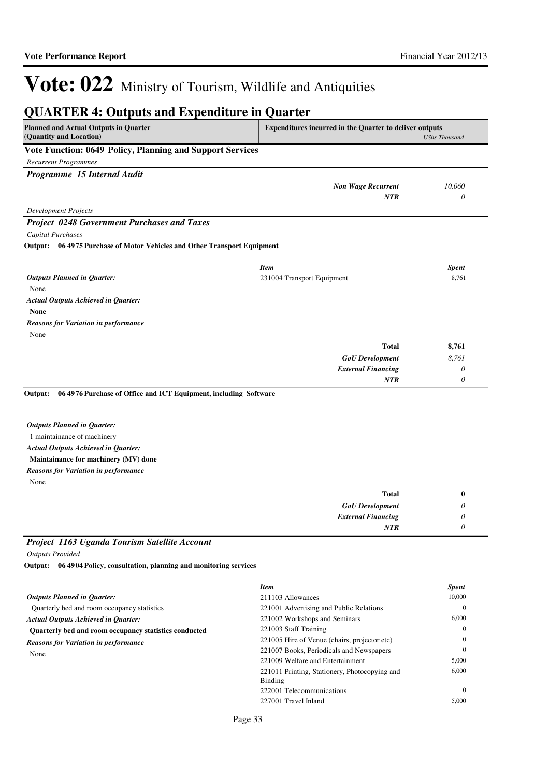| <b>QUARTER 4: Outputs and Expenditure in Quarter</b>                                                                                                                                                   |                                                                 |                    |  |
|--------------------------------------------------------------------------------------------------------------------------------------------------------------------------------------------------------|-----------------------------------------------------------------|--------------------|--|
| <b>Planned and Actual Outputs in Quarter</b><br><b>Expenditures incurred in the Quarter to deliver outputs</b><br>(Quantity and Location)<br><b>UShs Thousand</b>                                      |                                                                 |                    |  |
| Vote Function: 0649 Policy, Planning and Support Services                                                                                                                                              |                                                                 |                    |  |
| <b>Recurrent Programmes</b>                                                                                                                                                                            |                                                                 |                    |  |
| Programme 15 Internal Audit                                                                                                                                                                            |                                                                 |                    |  |
|                                                                                                                                                                                                        | <b>Non Wage Recurrent</b><br>NTR                                | 10,060<br>$\theta$ |  |
| <b>Development Projects</b>                                                                                                                                                                            |                                                                 |                    |  |
| <b>Project 0248 Government Purchases and Taxes</b>                                                                                                                                                     |                                                                 |                    |  |
| Capital Purchases                                                                                                                                                                                      |                                                                 |                    |  |
| Output: 06 4975 Purchase of Motor Vehicles and Other Transport Equipment                                                                                                                               |                                                                 |                    |  |
|                                                                                                                                                                                                        | <b>Item</b>                                                     | <b>Spent</b>       |  |
| <b>Outputs Planned in Quarter:</b>                                                                                                                                                                     | 231004 Transport Equipment                                      | 8,761              |  |
| None                                                                                                                                                                                                   |                                                                 |                    |  |
| <b>Actual Outputs Achieved in Quarter:</b>                                                                                                                                                             |                                                                 |                    |  |
| <b>None</b>                                                                                                                                                                                            |                                                                 |                    |  |
| <b>Reasons for Variation in performance</b>                                                                                                                                                            |                                                                 |                    |  |
| None                                                                                                                                                                                                   |                                                                 |                    |  |
|                                                                                                                                                                                                        | <b>Total</b>                                                    | 8,761              |  |
|                                                                                                                                                                                                        | <b>GoU</b> Development                                          | 8,761              |  |
|                                                                                                                                                                                                        | <b>External Financing</b>                                       | $\theta$           |  |
|                                                                                                                                                                                                        | NTR                                                             | 0                  |  |
| <b>Outputs Planned in Quarter:</b><br>1 maintainance of machinery<br><b>Actual Outputs Achieved in Quarter:</b><br>Maintainance for machinery (MV) done<br><b>Reasons for Variation in performance</b> |                                                                 |                    |  |
| None                                                                                                                                                                                                   |                                                                 |                    |  |
|                                                                                                                                                                                                        | <b>Total</b>                                                    | $\bf{0}$           |  |
|                                                                                                                                                                                                        | <b>GoU</b> Development                                          | 0                  |  |
|                                                                                                                                                                                                        | <b>External Financing</b>                                       | 0                  |  |
|                                                                                                                                                                                                        | NTR                                                             | 0                  |  |
| Project 1163 Uganda Tourism Satellite Account                                                                                                                                                          |                                                                 |                    |  |
| <b>Outputs Provided</b>                                                                                                                                                                                |                                                                 |                    |  |
| Output: 06 4904 Policy, consultation, planning and monitoring services                                                                                                                                 |                                                                 |                    |  |
|                                                                                                                                                                                                        | <b>Item</b>                                                     | Spent              |  |
| <b>Outputs Planned in Quarter:</b>                                                                                                                                                                     | 211103 Allowances                                               | 10,000             |  |
| Quarterly bed and room occupancy statistics                                                                                                                                                            | 221001 Advertising and Public Relations                         | $\boldsymbol{0}$   |  |
| <b>Actual Outputs Achieved in Quarter:</b>                                                                                                                                                             | 221002 Workshops and Seminars                                   | 6,000              |  |
| Quarterly bed and room occupancy statistics conducted                                                                                                                                                  | 221003 Staff Training                                           | $\mathbf{0}$       |  |
| <b>Reasons for Variation in performance</b>                                                                                                                                                            | 221005 Hire of Venue (chairs, projector etc)                    | $\theta$           |  |
| None                                                                                                                                                                                                   | 221007 Books, Periodicals and Newspapers                        | $\mathbf{0}$       |  |
|                                                                                                                                                                                                        | 221009 Welfare and Entertainment                                | 5,000              |  |
|                                                                                                                                                                                                        | 221011 Printing, Stationery, Photocopying and<br><b>Binding</b> | 6,000              |  |

222001 Telecommunications 0 227001 Travel Inland 5,000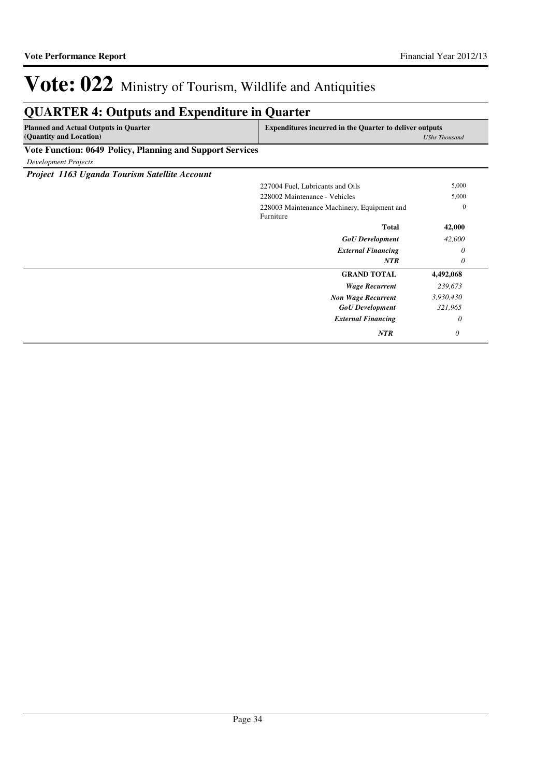## **QUARTER 4: Outputs and Expenditure in Quarter**

| <b>Planned and Actual Outputs in Quarter</b>              | Expenditures incurred in the Quarter to deliver outputs |
|-----------------------------------------------------------|---------------------------------------------------------|
| (Quantity and Location)                                   | <b>UShs Thousand</b>                                    |
| Vote Function: 0649 Policy, Planning and Support Services |                                                         |

*Development Projects*

*Project 1163 Uganda Tourism Satellite Account*

| Troject Tros Oganaa Tourism Salenne Account |                                                          |                  |
|---------------------------------------------|----------------------------------------------------------|------------------|
|                                             | 227004 Fuel, Lubricants and Oils                         | 5,000            |
|                                             | 228002 Maintenance - Vehicles                            | 5,000            |
|                                             | 228003 Maintenance Machinery, Equipment and<br>Furniture | $\boldsymbol{0}$ |
|                                             | <b>Total</b>                                             | 42,000           |
|                                             | <b>GoU</b> Development                                   | 42,000           |
|                                             | <b>External Financing</b>                                | $\theta$         |
|                                             | NTR                                                      | $\theta$         |
|                                             | <b>GRAND TOTAL</b>                                       | 4,492,068        |
|                                             | <b>Wage Recurrent</b>                                    | 239,673          |
|                                             | <b>Non Wage Recurrent</b>                                | 3,930,430        |
|                                             | <b>GoU</b> Development                                   | 321,965          |
|                                             | <b>External Financing</b>                                | $\theta$         |
|                                             | <b>NTR</b>                                               | $\theta$         |
|                                             |                                                          |                  |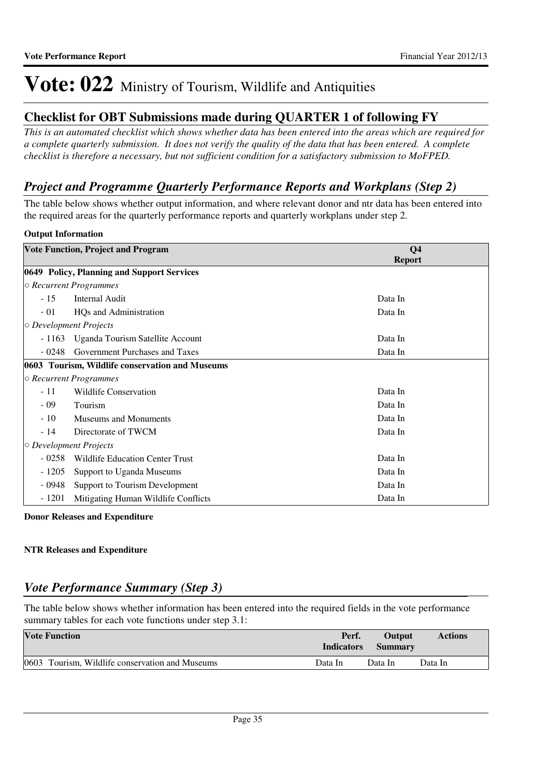## **Checklist for OBT Submissions made during QUARTER 1 of following FY**

*This is an automated checklist which shows whether data has been entered into the areas which are required for a complete quarterly submission. It does not verify the quality of the data that has been entered. A complete checklist is therefore a necessary, but not sufficient condition for a satisfactory submission to MoFPED.*

## *Project and Programme Quarterly Performance Reports and Workplans (Step 2)*

The table below shows whether output information, and where relevant donor and ntr data has been entered into the required areas for the quarterly performance reports and quarterly workplans under step 2.

### **Output Information**

|                              | <b>Vote Function, Project and Program</b>       | Q <sub>4</sub><br><b>Report</b> |
|------------------------------|-------------------------------------------------|---------------------------------|
|                              | 0649 Policy, Planning and Support Services      |                                 |
|                              | $\circ$ Recurrent Programmes                    |                                 |
| $-15$                        | <b>Internal Audit</b>                           | Data In                         |
| $-01$                        | HQs and Administration                          | Data In                         |
| $\circ$ Development Projects |                                                 |                                 |
| $-1163$                      | Uganda Tourism Satellite Account                | Data In                         |
| - 0248                       | Government Purchases and Taxes                  | Data In                         |
|                              | 0603 Tourism, Wildlife conservation and Museums |                                 |
|                              | $\circ$ Recurrent Programmes                    |                                 |
| $-11$                        | <b>Wildlife Conservation</b>                    | Data In                         |
| $-09$                        | Tourism                                         | Data In                         |
| $-10$                        | Museums and Monuments                           | Data In                         |
| $-14$                        | Directorate of TWCM                             | Data In                         |
| $\circ$ Development Projects |                                                 |                                 |
| $-0258$                      | Wildlife Education Center Trust                 | Data In                         |
| $-1205$                      | Support to Uganda Museums                       | Data In                         |
| $-0948$                      | Support to Tourism Development                  | Data In                         |
| $-1201$                      | Mitigating Human Wildlife Conflicts             | Data In                         |

**Donor Releases and Expenditure**

### **NTR Releases and Expenditure**

## *Vote Performance Summary (Step 3)*

The table below shows whether information has been entered into the required fields in the vote performance summary tables for each vote functions under step 3.1:

| <b>Vote Function</b>                            | Perf.<br><b>Indicators</b> | <b>Output</b><br><b>Summary</b> | <b>Actions</b> |
|-------------------------------------------------|----------------------------|---------------------------------|----------------|
| 0603 Tourism, Wildlife conservation and Museums | Data In                    | Data In                         | Data In        |